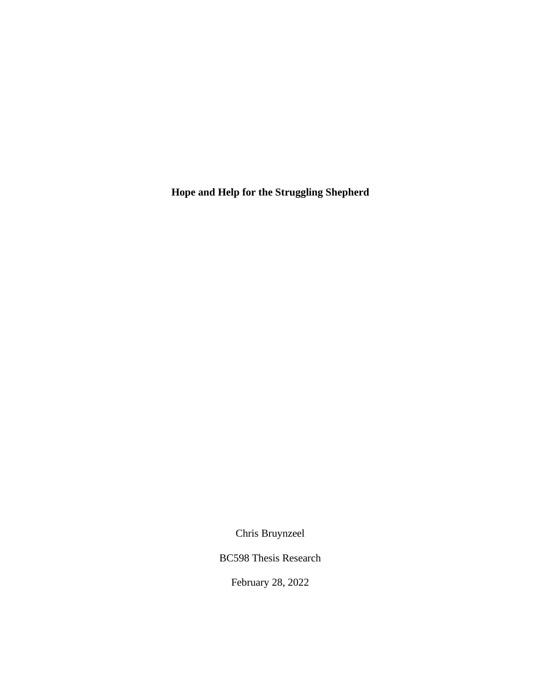**Hope and Help for the Struggling Shepherd**

Chris Bruynzeel

BC598 Thesis Research

February 28, 2022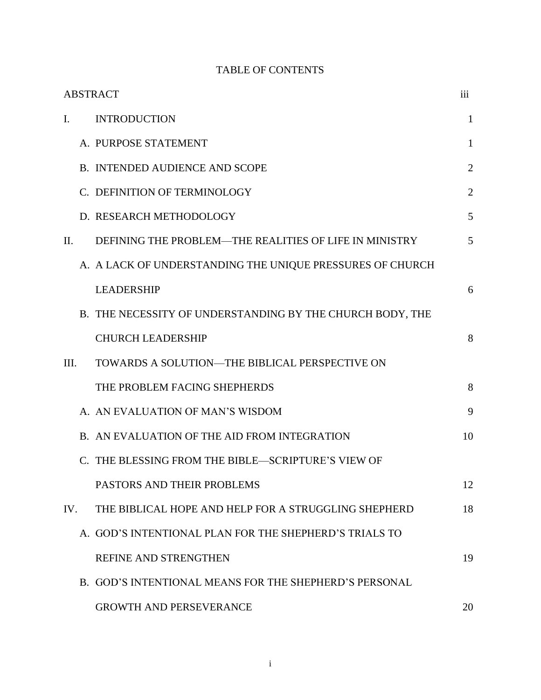# TABLE OF CONTENTS

| <b>ABSTRACT</b> |  |                                                           | iii            |
|-----------------|--|-----------------------------------------------------------|----------------|
| Ι.              |  | <b>INTRODUCTION</b>                                       | $\mathbf{1}$   |
|                 |  | A. PURPOSE STATEMENT                                      | $\mathbf{1}$   |
|                 |  | B. INTENDED AUDIENCE AND SCOPE                            | $\overline{2}$ |
|                 |  | C. DEFINITION OF TERMINOLOGY                              | $\overline{2}$ |
|                 |  | D. RESEARCH METHODOLOGY                                   | 5              |
| II.             |  | DEFINING THE PROBLEM—THE REALITIES OF LIFE IN MINISTRY    | 5              |
|                 |  | A. A LACK OF UNDERSTANDING THE UNIQUE PRESSURES OF CHURCH |                |
|                 |  | <b>LEADERSHIP</b>                                         | 6              |
|                 |  | B. THE NECESSITY OF UNDERSTANDING BY THE CHURCH BODY, THE |                |
|                 |  | <b>CHURCH LEADERSHIP</b>                                  | 8              |
| Ш.              |  | TOWARDS A SOLUTION-THE BIBLICAL PERSPECTIVE ON            |                |
|                 |  | THE PROBLEM FACING SHEPHERDS                              | 8              |
|                 |  | A. AN EVALUATION OF MAN'S WISDOM                          | 9              |
|                 |  | B. AN EVALUATION OF THE AID FROM INTEGRATION              | 10             |
|                 |  | C. THE BLESSING FROM THE BIBLE—SCRIPTURE'S VIEW OF        |                |
|                 |  | PASTORS AND THEIR PROBLEMS                                | 12             |
| IV.             |  | THE BIBLICAL HOPE AND HELP FOR A STRUGGLING SHEPHERD      | 18             |
|                 |  | A. GOD'S INTENTIONAL PLAN FOR THE SHEPHERD'S TRIALS TO    |                |
|                 |  | REFINE AND STRENGTHEN                                     | 19             |
|                 |  | B. GOD'S INTENTIONAL MEANS FOR THE SHEPHERD'S PERSONAL    |                |
|                 |  | <b>GROWTH AND PERSEVERANCE</b>                            | 20             |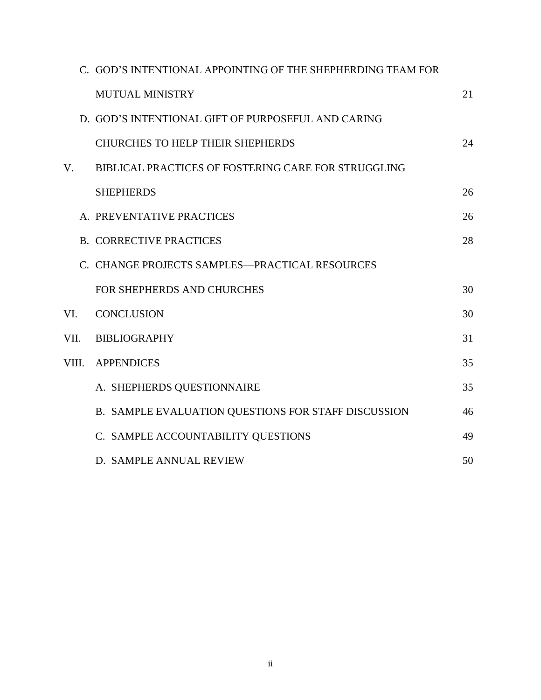|       |  | C. GOD'S INTENTIONAL APPOINTING OF THE SHEPHERDING TEAM FOR |    |  |
|-------|--|-------------------------------------------------------------|----|--|
|       |  | MUTUAL MINISTRY                                             | 21 |  |
|       |  | D. GOD'S INTENTIONAL GIFT OF PURPOSEFUL AND CARING          |    |  |
|       |  | <b>CHURCHES TO HELP THEIR SHEPHERDS</b>                     | 24 |  |
| V.    |  | <b>BIBLICAL PRACTICES OF FOSTERING CARE FOR STRUGGLING</b>  |    |  |
|       |  | <b>SHEPHERDS</b>                                            | 26 |  |
|       |  | A. PREVENTATIVE PRACTICES                                   | 26 |  |
|       |  | <b>B. CORRECTIVE PRACTICES</b>                              | 28 |  |
|       |  | C. CHANGE PROJECTS SAMPLES-PRACTICAL RESOURCES              |    |  |
|       |  | FOR SHEPHERDS AND CHURCHES                                  | 30 |  |
| VI.   |  | <b>CONCLUSION</b>                                           | 30 |  |
| VII.  |  | <b>BIBLIOGRAPHY</b>                                         | 31 |  |
| VIII. |  | <b>APPENDICES</b>                                           | 35 |  |
|       |  | A. SHEPHERDS QUESTIONNAIRE                                  | 35 |  |
|       |  | B. SAMPLE EVALUATION QUESTIONS FOR STAFF DISCUSSION         | 46 |  |
|       |  | C. SAMPLE ACCOUNTABILITY QUESTIONS                          | 49 |  |
|       |  | D. SAMPLE ANNUAL REVIEW                                     | 50 |  |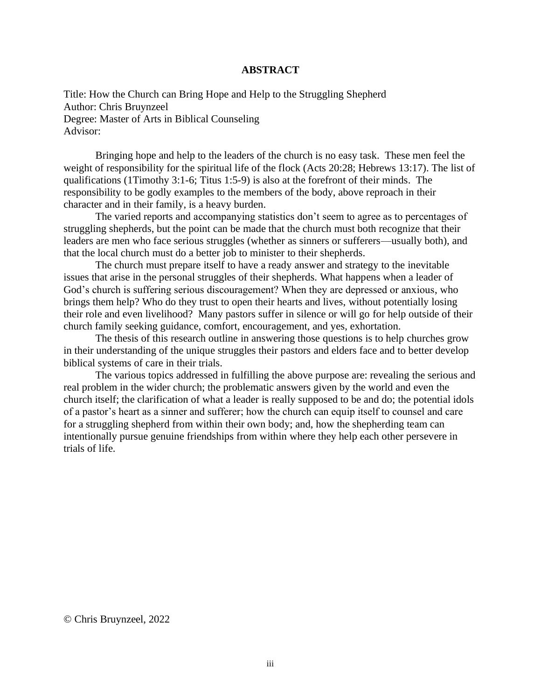#### **ABSTRACT**

Title: How the Church can Bring Hope and Help to the Struggling Shepherd Author: Chris Bruynzeel Degree: Master of Arts in Biblical Counseling Advisor:

Bringing hope and help to the leaders of the church is no easy task. These men feel the weight of responsibility for the spiritual life of the flock (Acts 20:28; Hebrews 13:17). The list of qualifications (1Timothy 3:1-6; Titus 1:5-9) is also at the forefront of their minds. The responsibility to be godly examples to the members of the body, above reproach in their character and in their family, is a heavy burden.

The varied reports and accompanying statistics don't seem to agree as to percentages of struggling shepherds, but the point can be made that the church must both recognize that their leaders are men who face serious struggles (whether as sinners or sufferers—usually both), and that the local church must do a better job to minister to their shepherds.

The church must prepare itself to have a ready answer and strategy to the inevitable issues that arise in the personal struggles of their shepherds. What happens when a leader of God's church is suffering serious discouragement? When they are depressed or anxious, who brings them help? Who do they trust to open their hearts and lives, without potentially losing their role and even livelihood? Many pastors suffer in silence or will go for help outside of their church family seeking guidance, comfort, encouragement, and yes, exhortation.

The thesis of this research outline in answering those questions is to help churches grow in their understanding of the unique struggles their pastors and elders face and to better develop biblical systems of care in their trials.

The various topics addressed in fulfilling the above purpose are: revealing the serious and real problem in the wider church; the problematic answers given by the world and even the church itself; the clarification of what a leader is really supposed to be and do; the potential idols of a pastor's heart as a sinner and sufferer; how the church can equip itself to counsel and care for a struggling shepherd from within their own body; and, how the shepherding team can intentionally pursue genuine friendships from within where they help each other persevere in trials of life.

© Chris Bruynzeel, 2022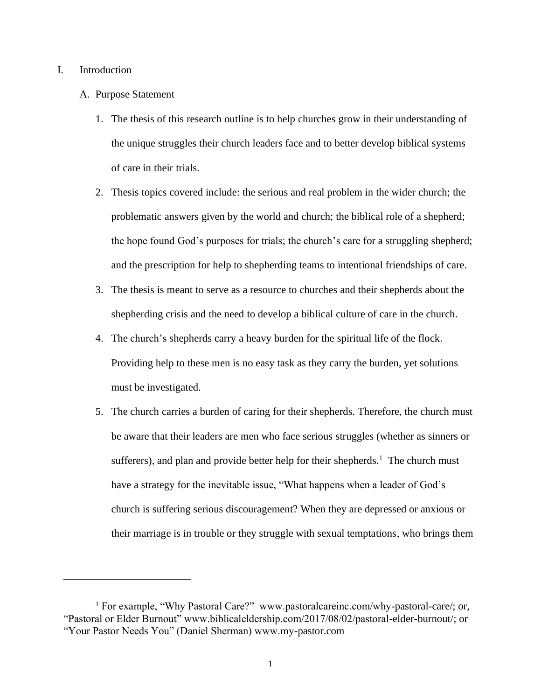### I. Introduction

### A. Purpose Statement

- 1. The thesis of this research outline is to help churches grow in their understanding of the unique struggles their church leaders face and to better develop biblical systems of care in their trials.
- 2. Thesis topics covered include: the serious and real problem in the wider church; the problematic answers given by the world and church; the biblical role of a shepherd; the hope found God's purposes for trials; the church's care for a struggling shepherd; and the prescription for help to shepherding teams to intentional friendships of care.
- 3. The thesis is meant to serve as a resource to churches and their shepherds about the shepherding crisis and the need to develop a biblical culture of care in the church.
- 4. The church's shepherds carry a heavy burden for the spiritual life of the flock. Providing help to these men is no easy task as they carry the burden, yet solutions must be investigated.
- 5. The church carries a burden of caring for their shepherds. Therefore, the church must be aware that their leaders are men who face serious struggles (whether as sinners or sufferers), and plan and provide better help for their shepherds.<sup>1</sup> The church must have a strategy for the inevitable issue, "What happens when a leader of God's church is suffering serious discouragement? When they are depressed or anxious or their marriage is in trouble or they struggle with sexual temptations, who brings them

<sup>&</sup>lt;sup>1</sup> For example, "Why Pastoral Care?" www.pastoralcareinc.com/why-pastoral-care/; or, "Pastoral or Elder Burnout" www.biblicaleldership.com/2017/08/02/pastoral-elder-burnout/; or "Your Pastor Needs You" (Daniel Sherman) www.my-pastor.com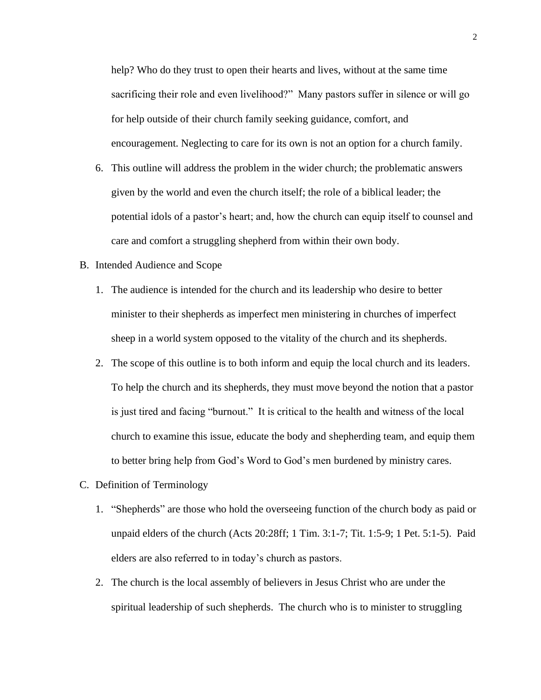help? Who do they trust to open their hearts and lives, without at the same time sacrificing their role and even livelihood?" Many pastors suffer in silence or will go for help outside of their church family seeking guidance, comfort, and encouragement. Neglecting to care for its own is not an option for a church family.

- 6. This outline will address the problem in the wider church; the problematic answers given by the world and even the church itself; the role of a biblical leader; the potential idols of a pastor's heart; and, how the church can equip itself to counsel and care and comfort a struggling shepherd from within their own body.
- B. Intended Audience and Scope
	- 1. The audience is intended for the church and its leadership who desire to better minister to their shepherds as imperfect men ministering in churches of imperfect sheep in a world system opposed to the vitality of the church and its shepherds.
	- 2. The scope of this outline is to both inform and equip the local church and its leaders. To help the church and its shepherds, they must move beyond the notion that a pastor is just tired and facing "burnout." It is critical to the health and witness of the local church to examine this issue, educate the body and shepherding team, and equip them to better bring help from God's Word to God's men burdened by ministry cares.
- C. Definition of Terminology
	- 1. "Shepherds" are those who hold the overseeing function of the church body as paid or unpaid elders of the church (Acts 20:28ff; 1 Tim. 3:1-7; Tit. 1:5-9; 1 Pet. 5:1-5). Paid elders are also referred to in today's church as pastors.
	- 2. The church is the local assembly of believers in Jesus Christ who are under the spiritual leadership of such shepherds. The church who is to minister to struggling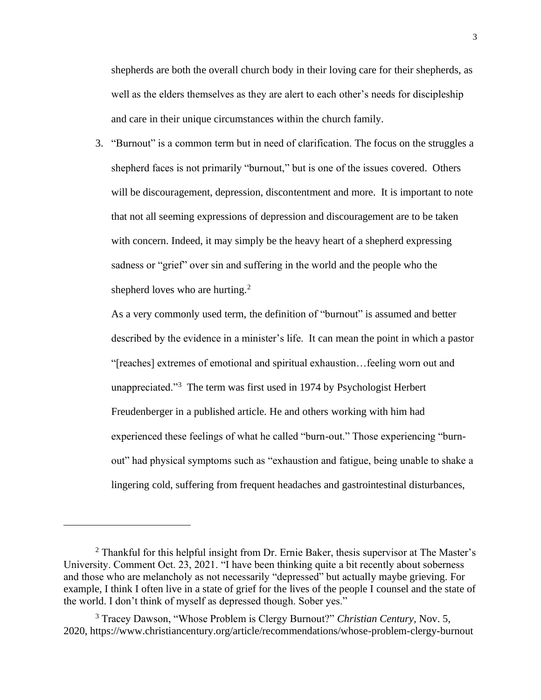shepherds are both the overall church body in their loving care for their shepherds, as well as the elders themselves as they are alert to each other's needs for discipleship and care in their unique circumstances within the church family.

3. "Burnout" is a common term but in need of clarification. The focus on the struggles a shepherd faces is not primarily "burnout," but is one of the issues covered. Others will be discouragement, depression, discontentment and more. It is important to note that not all seeming expressions of depression and discouragement are to be taken with concern. Indeed, it may simply be the heavy heart of a shepherd expressing sadness or "grief" over sin and suffering in the world and the people who the shepherd loves who are hurting.<sup>2</sup>

As a very commonly used term, the definition of "burnout" is assumed and better described by the evidence in a minister's life. It can mean the point in which a pastor "[reaches] extremes of emotional and spiritual exhaustion…feeling worn out and unappreciated."<sup>3</sup> The term was first used in 1974 by Psychologist Herbert Freudenberger in a published article. He and others working with him had experienced these feelings of what he called "burn-out." Those experiencing "burnout" had physical symptoms such as "exhaustion and fatigue, being unable to shake a lingering cold, suffering from frequent headaches and gastrointestinal disturbances,

<sup>2</sup> Thankful for this helpful insight from Dr. Ernie Baker, thesis supervisor at The Master's University. Comment Oct. 23, 2021. "I have been thinking quite a bit recently about soberness and those who are melancholy as not necessarily "depressed" but actually maybe grieving. For example, I think I often live in a state of grief for the lives of the people I counsel and the state of the world. I don't think of myself as depressed though. Sober yes."

<sup>3</sup> Tracey Dawson, "Whose Problem is Clergy Burnout?" *Christian Century,* Nov. 5, 2020, https://www.christiancentury.org/article/recommendations/whose-problem-clergy-burnout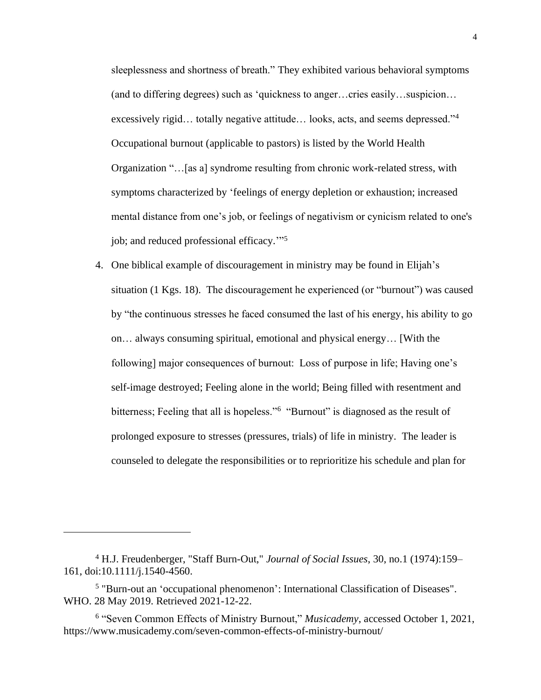sleeplessness and shortness of breath." They exhibited various behavioral symptoms (and to differing degrees) such as 'quickness to anger…cries easily…suspicion… excessively rigid… totally negative attitude… looks, acts, and seems depressed."<sup>4</sup> Occupational burnout (applicable to pastors) is listed by the World Health Organization "…[as a] syndrome resulting from chronic work-related stress, with symptoms characterized by 'feelings of energy depletion or exhaustion; increased mental distance from one's job, or feelings of negativism or cynicism related to one's job; and reduced professional efficacy."<sup>5</sup>

4. One biblical example of discouragement in ministry may be found in Elijah's situation (1 Kgs. 18). The discouragement he experienced (or "burnout") was caused by "the continuous stresses he faced consumed the last of his energy, his ability to go on… always consuming spiritual, emotional and physical energy… [With the following] major consequences of burnout: Loss of purpose in life; Having one's self-image destroyed; Feeling alone in the world; Being filled with resentment and bitterness; Feeling that all is hopeless."<sup>6</sup> "Burnout" is diagnosed as the result of prolonged exposure to stresses (pressures, trials) of life in ministry. The leader is counseled to delegate the responsibilities or to reprioritize his schedule and plan for

<sup>4</sup> H.J. Freudenberger, "Staff Burn-Out," *Journal of Social Issues*, 30, no.1 (1974):159– 161, doi:10.1111/j.1540-4560.

<sup>&</sup>lt;sup>5</sup> "Burn-out an 'occupational phenomenon': International Classification of Diseases". WHO. 28 May 2019. Retrieved 2021-12-22.

<sup>6</sup> "Seven Common Effects of Ministry Burnout," *Musicademy*, accessed October 1, 2021, https://www.musicademy.com/seven-common-effects-of-ministry-burnout/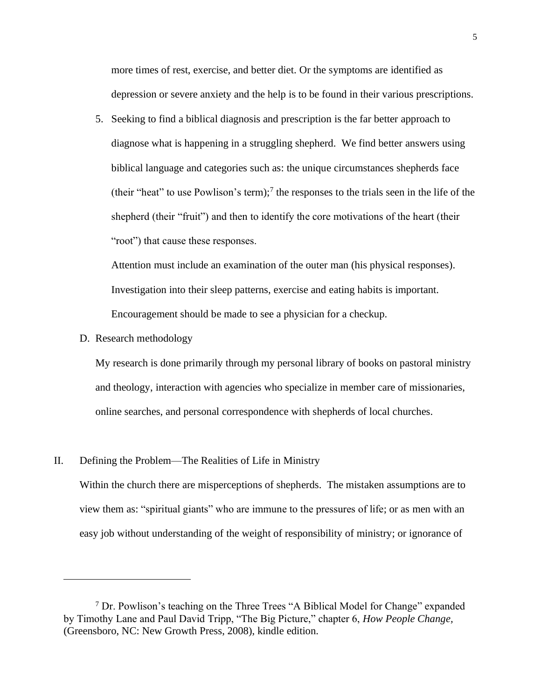more times of rest, exercise, and better diet. Or the symptoms are identified as depression or severe anxiety and the help is to be found in their various prescriptions.

5. Seeking to find a biblical diagnosis and prescription is the far better approach to diagnose what is happening in a struggling shepherd. We find better answers using biblical language and categories such as: the unique circumstances shepherds face (their "heat" to use Powlison's term); 7 the responses to the trials seen in the life of the shepherd (their "fruit") and then to identify the core motivations of the heart (their "root") that cause these responses.

Attention must include an examination of the outer man (his physical responses). Investigation into their sleep patterns, exercise and eating habits is important. Encouragement should be made to see a physician for a checkup.

D. Research methodology

My research is done primarily through my personal library of books on pastoral ministry and theology, interaction with agencies who specialize in member care of missionaries, online searches, and personal correspondence with shepherds of local churches.

#### II. Defining the Problem—The Realities of Life in Ministry

Within the church there are misperceptions of shepherds. The mistaken assumptions are to view them as: "spiritual giants" who are immune to the pressures of life; or as men with an easy job without understanding of the weight of responsibility of ministry; or ignorance of

<sup>&</sup>lt;sup>7</sup> Dr. Powlison's teaching on the Three Trees "A Biblical Model for Change" expanded by Timothy Lane and Paul David Tripp, "The Big Picture," chapter 6, *How People Change,*  (Greensboro, NC: New Growth Press, 2008), kindle edition.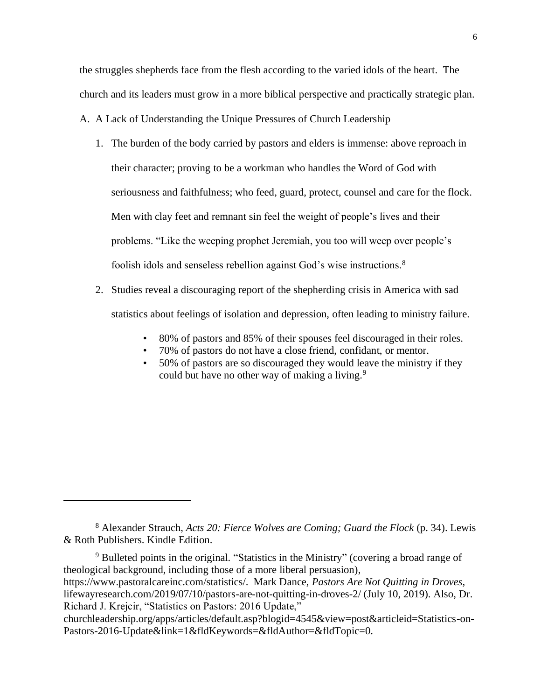the struggles shepherds face from the flesh according to the varied idols of the heart. The church and its leaders must grow in a more biblical perspective and practically strategic plan.

A. A Lack of Understanding the Unique Pressures of Church Leadership

- 1. The burden of the body carried by pastors and elders is immense: above reproach in their character; proving to be a workman who handles the Word of God with seriousness and faithfulness; who feed, guard, protect, counsel and care for the flock. Men with clay feet and remnant sin feel the weight of people's lives and their problems. "Like the weeping prophet Jeremiah, you too will weep over people's foolish idols and senseless rebellion against God's wise instructions.<sup>8</sup>
- 2. Studies reveal a discouraging report of the shepherding crisis in America with sad statistics about feelings of isolation and depression, often leading to ministry failure.
	- 80% of pastors and 85% of their spouses feel discouraged in their roles.
	- 70% of pastors do not have a close friend, confidant, or mentor.
	- 50% of pastors are so discouraged they would leave the ministry if they could but have no other way of making a living.<sup>9</sup>

<sup>8</sup> Alexander Strauch, *Acts 20: Fierce Wolves are Coming; Guard the Flock* (p. 34). Lewis & Roth Publishers. Kindle Edition.

<sup>9</sup> Bulleted points in the original. "Statistics in the Ministry" (covering a broad range of theological background, including those of a more liberal persuasion), https://www.pastoralcareinc.com/statistics/. Mark Dance, *Pastors Are Not Quitting in Droves,* 

lifewayresearch.com/2019/07/10/pastors-are-not-quitting-in-droves-2/ (July 10, 2019). Also, Dr. Richard J. Krejcir, "Statistics on Pastors: 2016 Update,"

churchleadership.org/apps/articles/default.asp?blogid=4545&view=post&articleid=Statistics-on-Pastors-2016-Update&link=1&fldKeywords=&fldAuthor=&fldTopic=0.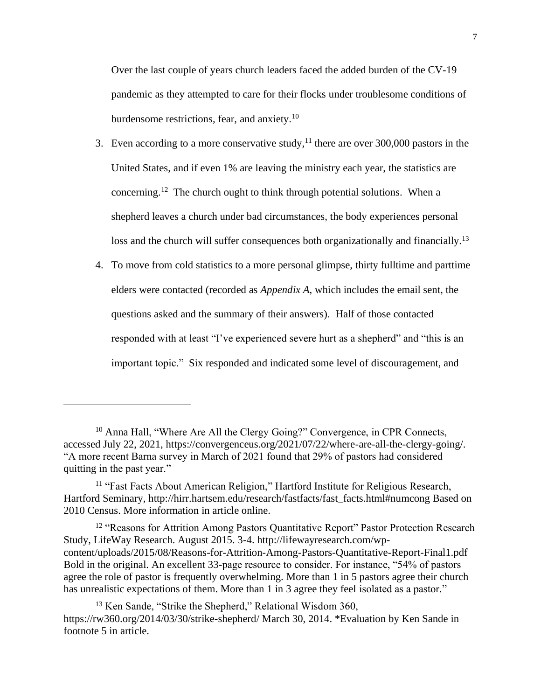Over the last couple of years church leaders faced the added burden of the CV-19 pandemic as they attempted to care for their flocks under troublesome conditions of burdensome restrictions, fear, and anxiety.<sup>10</sup>

- 3. Even according to a more conservative study,  $11$  there are over 300,000 pastors in the United States, and if even 1% are leaving the ministry each year, the statistics are concerning.<sup>12</sup> The church ought to think through potential solutions. When a shepherd leaves a church under bad circumstances, the body experiences personal loss and the church will suffer consequences both organizationally and financially.<sup>13</sup>
- 4. To move from cold statistics to a more personal glimpse, thirty fulltime and parttime elders were contacted (recorded as *Appendix A*, which includes the email sent, the questions asked and the summary of their answers). Half of those contacted responded with at least "I've experienced severe hurt as a shepherd" and "this is an important topic." Six responded and indicated some level of discouragement, and

<sup>&</sup>lt;sup>10</sup> Anna Hall, "Where Are All the Clergy Going?" Convergence, in CPR Connects, accessed July 22, 2021, https://convergenceus.org/2021/07/22/where-are-all-the-clergy-going/. "A more recent Barna survey in March of 2021 found that 29% of pastors had considered quitting in the past year."

<sup>&</sup>lt;sup>11</sup> "Fast Facts About American Religion," Hartford Institute for Religious Research, Hartford Seminary, http://hirr.hartsem.edu/research/fastfacts/fast\_facts.html#numcong Based on 2010 Census. More information in article online.

<sup>&</sup>lt;sup>12</sup> "Reasons for Attrition Among Pastors Quantitative Report" Pastor Protection Research Study, LifeWay Research. August 2015. 3-4. http://lifewayresearch.com/wpcontent/uploads/2015/08/Reasons-for-Attrition-Among-Pastors-Quantitative-Report-Final1.pdf Bold in the original. An excellent 33-page resource to consider. For instance, "54% of pastors agree the role of pastor is frequently overwhelming. More than 1 in 5 pastors agree their church has unrealistic expectations of them. More than 1 in 3 agree they feel isolated as a pastor."

<sup>&</sup>lt;sup>13</sup> Ken Sande, "Strike the Shepherd," Relational Wisdom 360, https://rw360.org/2014/03/30/strike-shepherd/ March 30, 2014. \*Evaluation by Ken Sande in footnote 5 in article.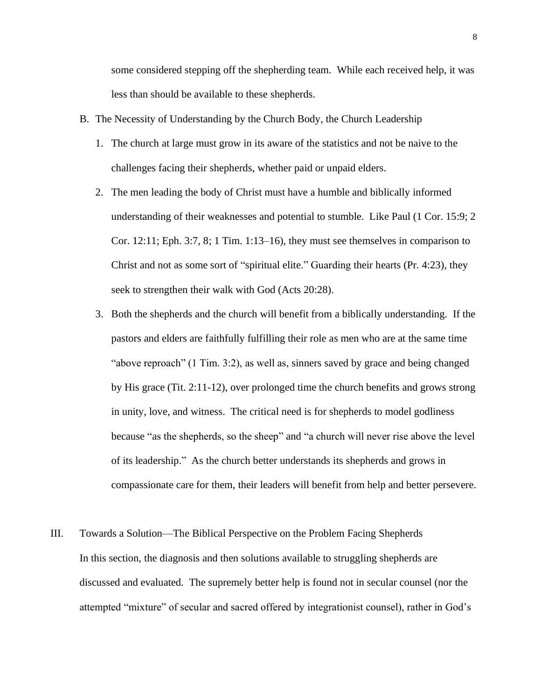some considered stepping off the shepherding team. While each received help, it was less than should be available to these shepherds.

- B. The Necessity of Understanding by the Church Body, the Church Leadership
	- 1. The church at large must grow in its aware of the statistics and not be naive to the challenges facing their shepherds, whether paid or unpaid elders.
	- 2. The men leading the body of Christ must have a humble and biblically informed understanding of their weaknesses and potential to stumble. Like Paul (1 Cor. 15:9; 2 Cor. 12:11; Eph. 3:7, 8; 1 Tim. 1:13–16), they must see themselves in comparison to Christ and not as some sort of "spiritual elite." Guarding their hearts (Pr. 4:23), they seek to strengthen their walk with God (Acts 20:28).
	- 3. Both the shepherds and the church will benefit from a biblically understanding. If the pastors and elders are faithfully fulfilling their role as men who are at the same time "above reproach" (1 Tim. 3:2), as well as, sinners saved by grace and being changed by His grace (Tit. 2:11-12), over prolonged time the church benefits and grows strong in unity, love, and witness. The critical need is for shepherds to model godliness because "as the shepherds, so the sheep" and "a church will never rise above the level of its leadership." As the church better understands its shepherds and grows in compassionate care for them, their leaders will benefit from help and better persevere.
- III. Towards a Solution—The Biblical Perspective on the Problem Facing Shepherds In this section, the diagnosis and then solutions available to struggling shepherds are discussed and evaluated. The supremely better help is found not in secular counsel (nor the attempted "mixture" of secular and sacred offered by integrationist counsel), rather in God's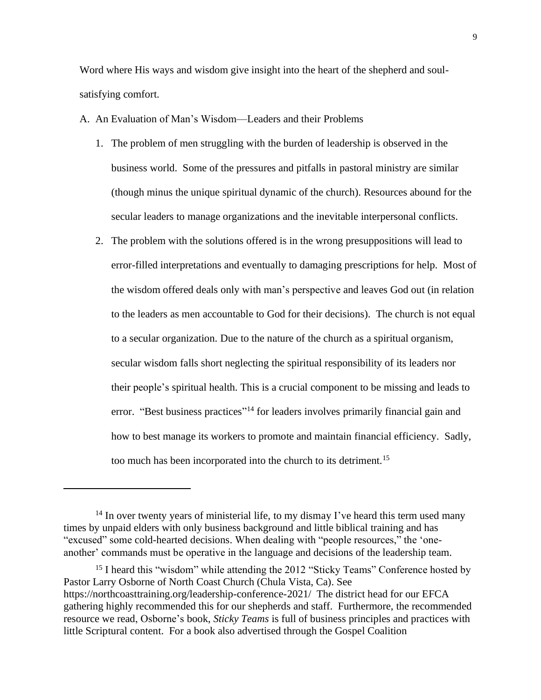Word where His ways and wisdom give insight into the heart of the shepherd and soulsatisfying comfort.

- A. An Evaluation of Man's Wisdom—Leaders and their Problems
	- 1. The problem of men struggling with the burden of leadership is observed in the business world. Some of the pressures and pitfalls in pastoral ministry are similar (though minus the unique spiritual dynamic of the church). Resources abound for the secular leaders to manage organizations and the inevitable interpersonal conflicts.
	- 2. The problem with the solutions offered is in the wrong presuppositions will lead to error-filled interpretations and eventually to damaging prescriptions for help. Most of the wisdom offered deals only with man's perspective and leaves God out (in relation to the leaders as men accountable to God for their decisions). The church is not equal to a secular organization. Due to the nature of the church as a spiritual organism, secular wisdom falls short neglecting the spiritual responsibility of its leaders nor their people's spiritual health. This is a crucial component to be missing and leads to error. "Best business practices"<sup>14</sup> for leaders involves primarily financial gain and how to best manage its workers to promote and maintain financial efficiency. Sadly, too much has been incorporated into the church to its detriment.<sup>15</sup>

 $14$  In over twenty years of ministerial life, to my dismay I've heard this term used many times by unpaid elders with only business background and little biblical training and has "excused" some cold-hearted decisions. When dealing with "people resources," the 'oneanother' commands must be operative in the language and decisions of the leadership team.

<sup>&</sup>lt;sup>15</sup> I heard this "wisdom" while attending the 2012 "Sticky Teams" Conference hosted by Pastor Larry Osborne of North Coast Church (Chula Vista, Ca). See https://northcoasttraining.org/leadership-conference-2021/ The district head for our EFCA gathering highly recommended this for our shepherds and staff. Furthermore, the recommended resource we read, Osborne's book, *Sticky Teams* is full of business principles and practices with little Scriptural content. For a book also advertised through the Gospel Coalition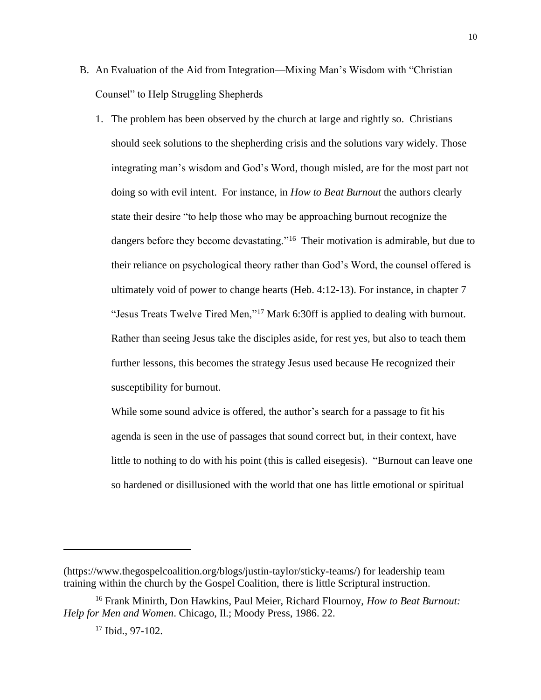- B. An Evaluation of the Aid from Integration—Mixing Man's Wisdom with "Christian Counsel" to Help Struggling Shepherds
	- 1. The problem has been observed by the church at large and rightly so. Christians should seek solutions to the shepherding crisis and the solutions vary widely. Those integrating man's wisdom and God's Word, though misled, are for the most part not doing so with evil intent. For instance, in *How to Beat Burnout* the authors clearly state their desire "to help those who may be approaching burnout recognize the dangers before they become devastating."<sup>16</sup> Their motivation is admirable, but due to their reliance on psychological theory rather than God's Word, the counsel offered is ultimately void of power to change hearts (Heb. 4:12-13). For instance, in chapter 7 "Jesus Treats Twelve Tired Men,"<sup>17</sup> Mark 6:30ff is applied to dealing with burnout. Rather than seeing Jesus take the disciples aside, for rest yes, but also to teach them further lessons, this becomes the strategy Jesus used because He recognized their susceptibility for burnout.

While some sound advice is offered, the author's search for a passage to fit his agenda is seen in the use of passages that sound correct but, in their context, have little to nothing to do with his point (this is called eisegesis). "Burnout can leave one so hardened or disillusioned with the world that one has little emotional or spiritual

<sup>(</sup>https://www.thegospelcoalition.org/blogs/justin-taylor/sticky-teams/) for leadership team training within the church by the Gospel Coalition, there is little Scriptural instruction.

<sup>16</sup> Frank Minirth, Don Hawkins, Paul Meier, Richard Flournoy, *How to Beat Burnout: Help for Men and Women*. Chicago, Il.; Moody Press, 1986. 22.

<sup>&</sup>lt;sup>17</sup> Ibid., 97-102.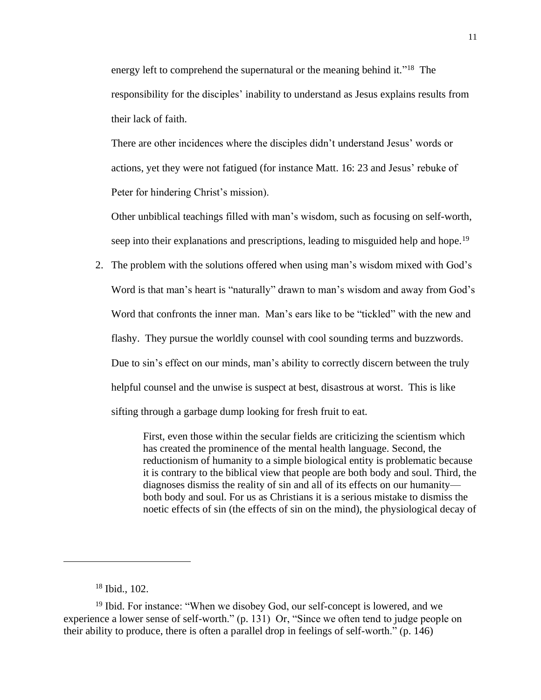energy left to comprehend the supernatural or the meaning behind it."<sup>18</sup> The responsibility for the disciples' inability to understand as Jesus explains results from their lack of faith.

There are other incidences where the disciples didn't understand Jesus' words or actions, yet they were not fatigued (for instance Matt. 16: 23 and Jesus' rebuke of Peter for hindering Christ's mission).

Other unbiblical teachings filled with man's wisdom, such as focusing on self-worth, seep into their explanations and prescriptions, leading to misguided help and hope.<sup>19</sup>

2. The problem with the solutions offered when using man's wisdom mixed with God's Word is that man's heart is "naturally" drawn to man's wisdom and away from God's Word that confronts the inner man. Man's ears like to be "tickled" with the new and flashy. They pursue the worldly counsel with cool sounding terms and buzzwords. Due to sin's effect on our minds, man's ability to correctly discern between the truly helpful counsel and the unwise is suspect at best, disastrous at worst. This is like sifting through a garbage dump looking for fresh fruit to eat.

> First, even those within the secular fields are criticizing the scientism which has created the prominence of the mental health language. Second, the reductionism of humanity to a simple biological entity is problematic because it is contrary to the biblical view that people are both body and soul. Third, the diagnoses dismiss the reality of sin and all of its effects on our humanity both body and soul. For us as Christians it is a serious mistake to dismiss the noetic effects of sin (the effects of sin on the mind), the physiological decay of

<sup>18</sup> Ibid., 102.

<sup>&</sup>lt;sup>19</sup> Ibid. For instance: "When we disobey God, our self-concept is lowered, and we experience a lower sense of self-worth." (p. 131) Or, "Since we often tend to judge people on their ability to produce, there is often a parallel drop in feelings of self-worth." (p. 146)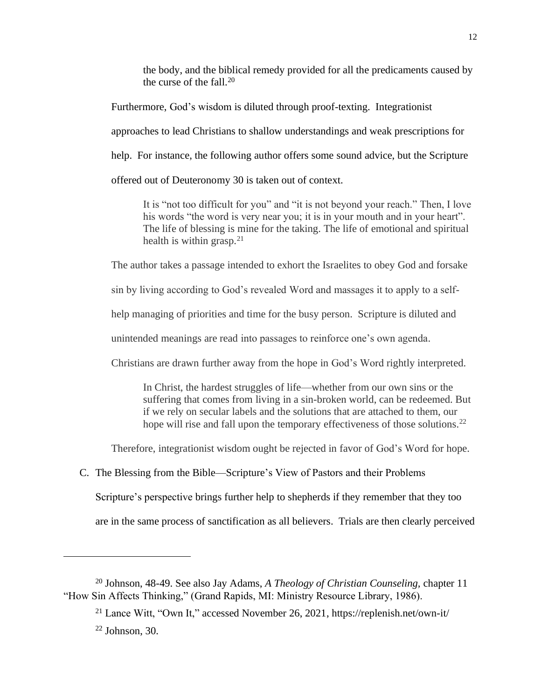the body, and the biblical remedy provided for all the predicaments caused by the curse of the fall. $20$ 

Furthermore, God's wisdom is diluted through proof-texting. Integrationist approaches to lead Christians to shallow understandings and weak prescriptions for help. For instance, the following author offers some sound advice, but the Scripture offered out of Deuteronomy 30 is taken out of context.

It is "not too difficult for you" and "it is not beyond your reach." Then, I love his words "the word is very near you; it is in your mouth and in your heart". The life of blessing is mine for the taking. The life of emotional and spiritual health is within grasp. $2<sup>1</sup>$ 

The author takes a passage intended to exhort the Israelites to obey God and forsake

sin by living according to God's revealed Word and massages it to apply to a self-

help managing of priorities and time for the busy person. Scripture is diluted and

unintended meanings are read into passages to reinforce one's own agenda.

Christians are drawn further away from the hope in God's Word rightly interpreted.

In Christ, the hardest struggles of life—whether from our own sins or the suffering that comes from living in a sin-broken world, can be redeemed. But if we rely on secular labels and the solutions that are attached to them, our hope will rise and fall upon the temporary effectiveness of those solutions.<sup>22</sup>

Therefore, integrationist wisdom ought be rejected in favor of God's Word for hope.

C. The Blessing from the Bible—Scripture's View of Pastors and their Problems

Scripture's perspective brings further help to shepherds if they remember that they too

are in the same process of sanctification as all believers. Trials are then clearly perceived

<sup>20</sup> Johnson, 48-49. See also Jay Adams, *A Theology of Christian Counseling,* chapter 11 "How Sin Affects Thinking," (Grand Rapids, MI: Ministry Resource Library, 1986).

<sup>21</sup> Lance Witt, "Own It," accessed November 26, 2021, https://replenish.net/own-it/

 $22$  Johnson, 30.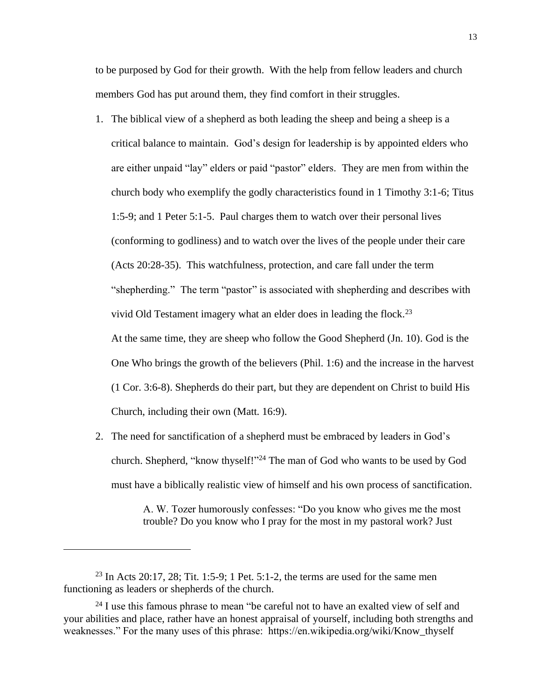to be purposed by God for their growth. With the help from fellow leaders and church members God has put around them, they find comfort in their struggles.

- 1. The biblical view of a shepherd as both leading the sheep and being a sheep is a critical balance to maintain. God's design for leadership is by appointed elders who are either unpaid "lay" elders or paid "pastor" elders. They are men from within the church body who exemplify the godly characteristics found in 1 Timothy 3:1-6; Titus 1:5-9; and 1 Peter 5:1-5. Paul charges them to watch over their personal lives (conforming to godliness) and to watch over the lives of the people under their care (Acts 20:28-35). This watchfulness, protection, and care fall under the term "shepherding." The term "pastor" is associated with shepherding and describes with vivid Old Testament imagery what an elder does in leading the flock.<sup>23</sup> At the same time, they are sheep who follow the Good Shepherd (Jn. 10). God is the One Who brings the growth of the believers (Phil. 1:6) and the increase in the harvest (1 Cor. 3:6-8). Shepherds do their part, but they are dependent on Christ to build His Church, including their own (Matt. 16:9).
- 2. The need for sanctification of a shepherd must be embraced by leaders in God's church. Shepherd, "know thyself!" <sup>24</sup> The man of God who wants to be used by God must have a biblically realistic view of himself and his own process of sanctification.

A. W. Tozer humorously confesses: "Do you know who gives me the most trouble? Do you know who I pray for the most in my pastoral work? Just

<sup>&</sup>lt;sup>23</sup> In Acts 20:17, 28; Tit. 1:5-9; 1 Pet. 5:1-2, the terms are used for the same men functioning as leaders or shepherds of the church.

 $24$  I use this famous phrase to mean "be careful not to have an exalted view of self and your abilities and place, rather have an honest appraisal of yourself, including both strengths and weaknesses." For the many uses of this phrase: https://en.wikipedia.org/wiki/Know\_thyself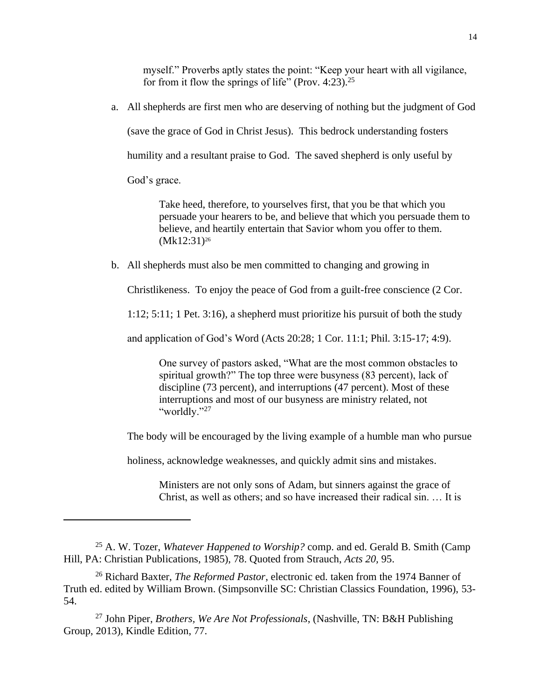myself." Proverbs aptly states the point: "Keep your heart with all vigilance, for from it flow the springs of life" (Prov. 4:23).<sup>25</sup>

a. All shepherds are first men who are deserving of nothing but the judgment of God

(save the grace of God in Christ Jesus). This bedrock understanding fosters

humility and a resultant praise to God. The saved shepherd is only useful by

God's grace.

Take heed, therefore, to yourselves first, that you be that which you persuade your hearers to be, and believe that which you persuade them to believe, and heartily entertain that Savior whom you offer to them.  $(Mk12:31)^{26}$ 

b. All shepherds must also be men committed to changing and growing in

Christlikeness. To enjoy the peace of God from a guilt-free conscience (2 Cor.

1:12; 5:11; 1 Pet. 3:16), a shepherd must prioritize his pursuit of both the study

and application of God's Word (Acts 20:28; 1 Cor. 11:1; Phil. 3:15-17; 4:9).

One survey of pastors asked, "What are the most common obstacles to spiritual growth?" The top three were busyness (83 percent), lack of discipline (73 percent), and interruptions (47 percent). Most of these interruptions and most of our busyness are ministry related, not "worldly."27

The body will be encouraged by the living example of a humble man who pursue

holiness, acknowledge weaknesses, and quickly admit sins and mistakes.

Ministers are not only sons of Adam, but sinners against the grace of Christ, as well as others; and so have increased their radical sin. … It is

<sup>27</sup> John Piper, *Brothers, We Are Not Professionals*, (Nashville, TN: B&H Publishing Group, 2013), Kindle Edition, 77.

<sup>25</sup> A. W. Tozer, *Whatever Happened to Worship?* comp. and ed. Gerald B. Smith (Camp Hill, PA: Christian Publications, 1985), 78. Quoted from Strauch, *Acts 20,* 95.

<sup>26</sup> Richard Baxter, *The Reformed Pastor*, electronic ed. taken from the 1974 Banner of Truth ed. edited by William Brown. (Simpsonville SC: Christian Classics Foundation, 1996), 53- 54.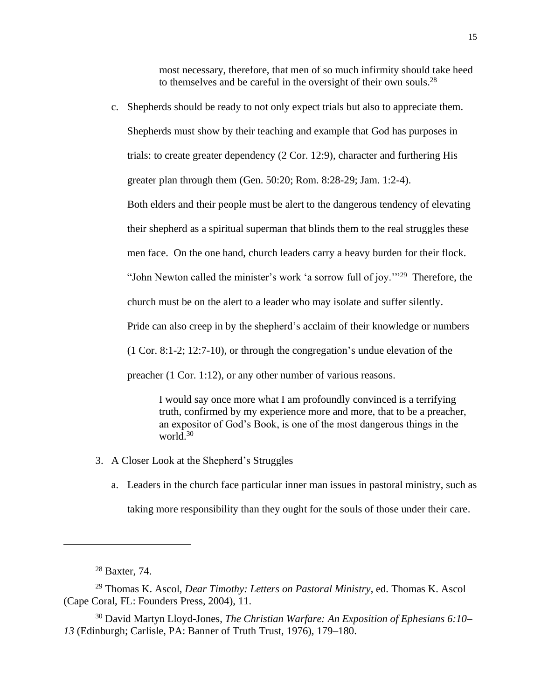most necessary, therefore, that men of so much infirmity should take heed to themselves and be careful in the oversight of their own souls.<sup>28</sup>

c. Shepherds should be ready to not only expect trials but also to appreciate them. Shepherds must show by their teaching and example that God has purposes in trials: to create greater dependency (2 Cor. 12:9), character and furthering His greater plan through them (Gen. 50:20; Rom. 8:28-29; Jam. 1:2-4). Both elders and their people must be alert to the dangerous tendency of elevating their shepherd as a spiritual superman that blinds them to the real struggles these men face. On the one hand, church leaders carry a heavy burden for their flock. "John Newton called the minister's work 'a sorrow full of joy."<sup>29</sup> Therefore, the church must be on the alert to a leader who may isolate and suffer silently. Pride can also creep in by the shepherd's acclaim of their knowledge or numbers (1 Cor. 8:1-2; 12:7-10), or through the congregation's undue elevation of the preacher (1 Cor. 1:12), or any other number of various reasons.

> I would say once more what I am profoundly convinced is a terrifying truth, confirmed by my experience more and more, that to be a preacher, an expositor of God's Book, is one of the most dangerous things in the world.<sup>30</sup>

- 3. A Closer Look at the Shepherd's Struggles
	- a. Leaders in the church face particular inner man issues in pastoral ministry, such as taking more responsibility than they ought for the souls of those under their care.

<sup>30</sup> David Martyn Lloyd-Jones, *The Christian Warfare: An Exposition of Ephesians 6:10– 13* (Edinburgh; Carlisle, PA: Banner of Truth Trust, 1976), 179–180.

<sup>28</sup> Baxter, 74.

<sup>29</sup> Thomas K. Ascol, *Dear Timothy: Letters on Pastoral Ministry*, ed. Thomas K. Ascol (Cape Coral, FL: Founders Press, 2004), 11.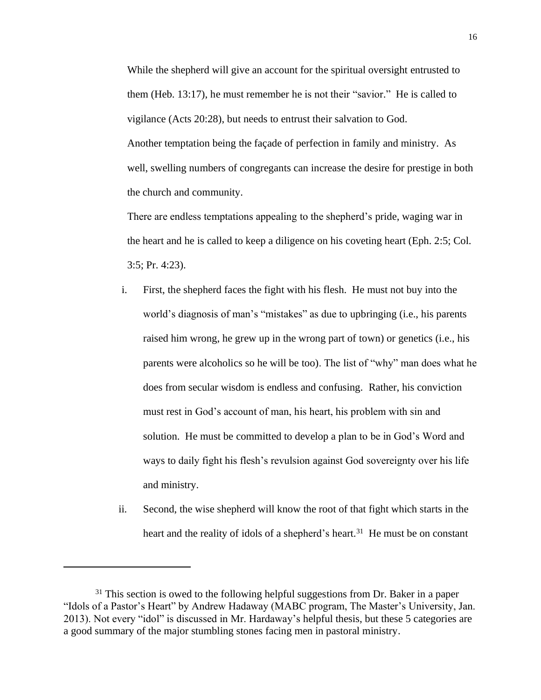While the shepherd will give an account for the spiritual oversight entrusted to them (Heb. 13:17), he must remember he is not their "savior." He is called to vigilance (Acts 20:28), but needs to entrust their salvation to God. Another temptation being the façade of perfection in family and ministry. As well, swelling numbers of congregants can increase the desire for prestige in both the church and community.

There are endless temptations appealing to the shepherd's pride, waging war in the heart and he is called to keep a diligence on his coveting heart (Eph. 2:5; Col. 3:5; Pr. 4:23).

- i. First, the shepherd faces the fight with his flesh. He must not buy into the world's diagnosis of man's "mistakes" as due to upbringing (i.e., his parents raised him wrong, he grew up in the wrong part of town) or genetics (i.e., his parents were alcoholics so he will be too). The list of "why" man does what he does from secular wisdom is endless and confusing. Rather, his conviction must rest in God's account of man, his heart, his problem with sin and solution. He must be committed to develop a plan to be in God's Word and ways to daily fight his flesh's revulsion against God sovereignty over his life and ministry.
- ii. Second, the wise shepherd will know the root of that fight which starts in the heart and the reality of idols of a shepherd's heart.<sup>31</sup> He must be on constant

 $31$  This section is owed to the following helpful suggestions from Dr. Baker in a paper "Idols of a Pastor's Heart" by Andrew Hadaway (MABC program, The Master's University, Jan. 2013). Not every "idol" is discussed in Mr. Hardaway's helpful thesis, but these 5 categories are a good summary of the major stumbling stones facing men in pastoral ministry.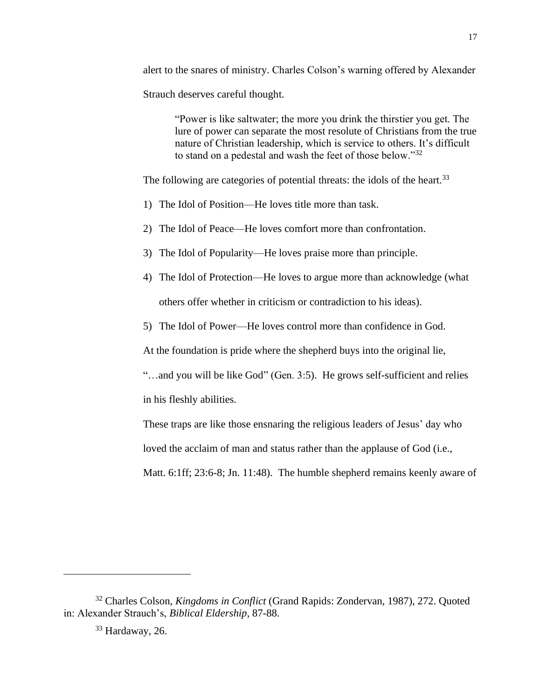alert to the snares of ministry. Charles Colson's warning offered by Alexander Strauch deserves careful thought.

"Power is like saltwater; the more you drink the thirstier you get. The lure of power can separate the most resolute of Christians from the true nature of Christian leadership, which is service to others. It's difficult to stand on a pedestal and wash the feet of those below."<sup>32</sup>

The following are categories of potential threats: the idols of the heart.<sup>33</sup>

- 1) The Idol of Position—He loves title more than task.
- 2) The Idol of Peace—He loves comfort more than confrontation.
- 3) The Idol of Popularity—He loves praise more than principle.
- 4) The Idol of Protection—He loves to argue more than acknowledge (what others offer whether in criticism or contradiction to his ideas).
- 5) The Idol of Power—He loves control more than confidence in God.

At the foundation is pride where the shepherd buys into the original lie,

"…and you will be like God" (Gen. 3:5). He grows self-sufficient and relies in his fleshly abilities.

These traps are like those ensnaring the religious leaders of Jesus' day who

loved the acclaim of man and status rather than the applause of God (i.e.,

Matt. 6:1ff; 23:6-8; Jn. 11:48). The humble shepherd remains keenly aware of

<sup>32</sup> Charles Colson, *Kingdoms in Conflict* (Grand Rapids: Zondervan, 1987), 272. Quoted in: Alexander Strauch's, *Biblical Eldership*, 87-88.

 $33$  Hardaway, 26.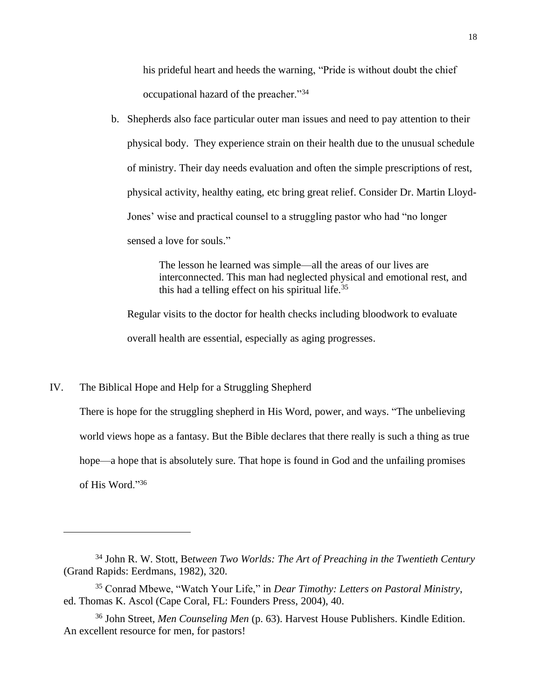his prideful heart and heeds the warning, "Pride is without doubt the chief occupational hazard of the preacher."<sup>34</sup>

b. Shepherds also face particular outer man issues and need to pay attention to their physical body. They experience strain on their health due to the unusual schedule of ministry. Their day needs evaluation and often the simple prescriptions of rest, physical activity, healthy eating, etc bring great relief. Consider Dr. Martin Lloyd-Jones' wise and practical counsel to a struggling pastor who had "no longer sensed a love for souls."

> The lesson he learned was simple—all the areas of our lives are interconnected. This man had neglected physical and emotional rest, and this had a telling effect on his spiritual life.<sup>35</sup>

Regular visits to the doctor for health checks including bloodwork to evaluate overall health are essential, especially as aging progresses.

IV. The Biblical Hope and Help for a Struggling Shepherd

There is hope for the struggling shepherd in His Word, power, and ways. "The unbelieving world views hope as a fantasy. But the Bible declares that there really is such a thing as true hope—a hope that is absolutely sure. That hope is found in God and the unfailing promises of His Word."<sup>36</sup>

<sup>34</sup> John R. W. Stott, Be*tween Two Worlds: The Art of Preaching in the Twentieth Century* (Grand Rapids: Eerdmans, 1982), 320.

<sup>35</sup> Conrad Mbewe, "Watch Your Life," in *Dear Timothy: Letters on Pastoral Ministry*, ed. Thomas K. Ascol (Cape Coral, FL: Founders Press, 2004), 40.

<sup>36</sup> John Street, *Men Counseling Men* (p. 63). Harvest House Publishers. Kindle Edition. An excellent resource for men, for pastors!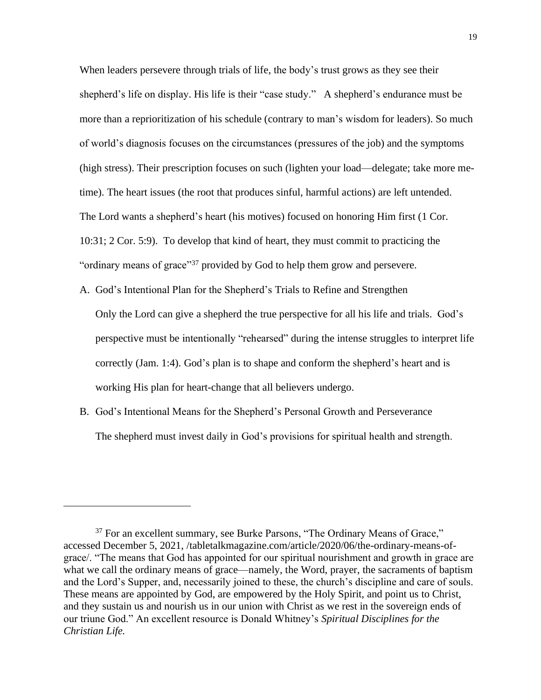When leaders persevere through trials of life, the body's trust grows as they see their shepherd's life on display. His life is their "case study." A shepherd's endurance must be more than a reprioritization of his schedule (contrary to man's wisdom for leaders). So much of world's diagnosis focuses on the circumstances (pressures of the job) and the symptoms (high stress). Their prescription focuses on such (lighten your load—delegate; take more metime). The heart issues (the root that produces sinful, harmful actions) are left untended. The Lord wants a shepherd's heart (his motives) focused on honoring Him first (1 Cor. 10:31; 2 Cor. 5:9). To develop that kind of heart, they must commit to practicing the "ordinary means of grace"<sup>37</sup> provided by God to help them grow and persevere.

- A. God's Intentional Plan for the Shepherd's Trials to Refine and Strengthen Only the Lord can give a shepherd the true perspective for all his life and trials. God's perspective must be intentionally "rehearsed" during the intense struggles to interpret life correctly (Jam. 1:4). God's plan is to shape and conform the shepherd's heart and is working His plan for heart-change that all believers undergo.
- B. God's Intentional Means for the Shepherd's Personal Growth and Perseverance The shepherd must invest daily in God's provisions for spiritual health and strength.

<sup>&</sup>lt;sup>37</sup> For an excellent summary, see Burke Parsons, "The Ordinary Means of Grace," accessed December 5, 2021, /tabletalkmagazine.com/article/2020/06/the-ordinary-means-ofgrace/. "The means that God has appointed for our spiritual nourishment and growth in grace are what we call the ordinary means of grace—namely, the Word, prayer, the sacraments of baptism and the Lord's Supper, and, necessarily joined to these, the church's discipline and care of souls. These means are appointed by God, are empowered by the Holy Spirit, and point us to Christ, and they sustain us and nourish us in our union with Christ as we rest in the sovereign ends of our triune God." An excellent resource is Donald Whitney's *Spiritual Disciplines for the Christian Life.*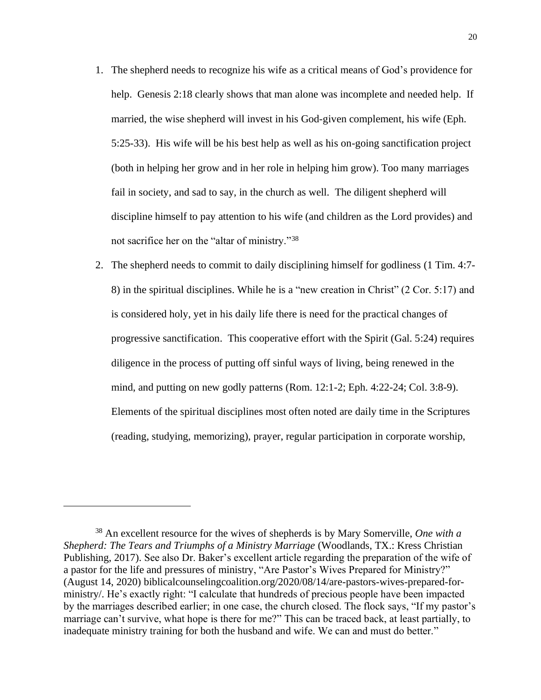- 1. The shepherd needs to recognize his wife as a critical means of God's providence for help. Genesis 2:18 clearly shows that man alone was incomplete and needed help. If married, the wise shepherd will invest in his God-given complement, his wife (Eph. 5:25-33). His wife will be his best help as well as his on-going sanctification project (both in helping her grow and in her role in helping him grow). Too many marriages fail in society, and sad to say, in the church as well. The diligent shepherd will discipline himself to pay attention to his wife (and children as the Lord provides) and not sacrifice her on the "altar of ministry."<sup>38</sup>
- 2. The shepherd needs to commit to daily disciplining himself for godliness (1 Tim. 4:7- 8) in the spiritual disciplines. While he is a "new creation in Christ" (2 Cor. 5:17) and is considered holy, yet in his daily life there is need for the practical changes of progressive sanctification. This cooperative effort with the Spirit (Gal. 5:24) requires diligence in the process of putting off sinful ways of living, being renewed in the mind, and putting on new godly patterns (Rom. 12:1-2; Eph. 4:22-24; Col. 3:8-9). Elements of the spiritual disciplines most often noted are daily time in the Scriptures (reading, studying, memorizing), prayer, regular participation in corporate worship,

<sup>38</sup> An excellent resource for the wives of shepherds is by Mary Somerville, *One with a Shepherd: The Tears and Triumphs of a Ministry Marriage* (Woodlands, TX.: Kress Christian Publishing, 2017). See also Dr. Baker's excellent article regarding the preparation of the wife of a pastor for the life and pressures of ministry, "Are Pastor's Wives Prepared for Ministry?" (August 14, 2020) biblicalcounselingcoalition.org/2020/08/14/are-pastors-wives-prepared-forministry/. He's exactly right: "I calculate that hundreds of precious people have been impacted by the marriages described earlier; in one case, the church closed. The flock says, "If my pastor's marriage can't survive, what hope is there for me?" This can be traced back, at least partially, to inadequate ministry training for both the husband and wife. We can and must do better."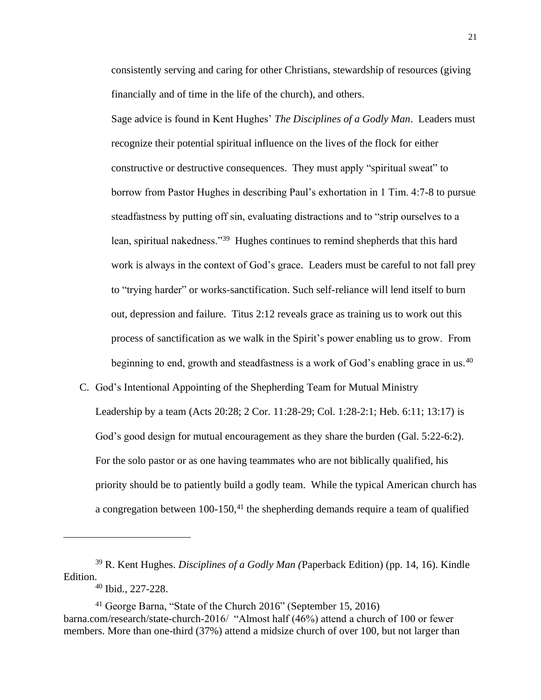consistently serving and caring for other Christians, stewardship of resources (giving financially and of time in the life of the church), and others.

Sage advice is found in Kent Hughes' *The Disciplines of a Godly Man*. Leaders must recognize their potential spiritual influence on the lives of the flock for either constructive or destructive consequences. They must apply "spiritual sweat" to borrow from Pastor Hughes in describing Paul's exhortation in 1 Tim. 4:7-8 to pursue steadfastness by putting off sin, evaluating distractions and to "strip ourselves to a lean, spiritual nakedness."<sup>39</sup> Hughes continues to remind shepherds that this hard work is always in the context of God's grace. Leaders must be careful to not fall prey to "trying harder" or works-sanctification. Such self-reliance will lend itself to burn out, depression and failure. Titus 2:12 reveals grace as training us to work out this process of sanctification as we walk in the Spirit's power enabling us to grow. From beginning to end, growth and steadfastness is a work of God's enabling grace in us.<sup>40</sup>

C. God's Intentional Appointing of the Shepherding Team for Mutual Ministry Leadership by a team (Acts 20:28; 2 Cor. 11:28-29; Col. 1:28-2:1; Heb. 6:11; 13:17) is God's good design for mutual encouragement as they share the burden (Gal. 5:22-6:2). For the solo pastor or as one having teammates who are not biblically qualified, his priority should be to patiently build a godly team. While the typical American church has a congregation between  $100-150$ ,<sup>41</sup> the shepherding demands require a team of qualified

<sup>39</sup> R. Kent Hughes. *Disciplines of a Godly Man (*Paperback Edition) (pp. 14, 16). Kindle Edition.

<sup>40</sup> Ibid., 227-228.

<sup>&</sup>lt;sup>41</sup> George Barna, "State of the Church 2016" (September 15, 2016) barna.com/research/state-church-2016/ "Almost half (46%) attend a church of 100 or fewer members. More than one-third (37%) attend a midsize church of over 100, but not larger than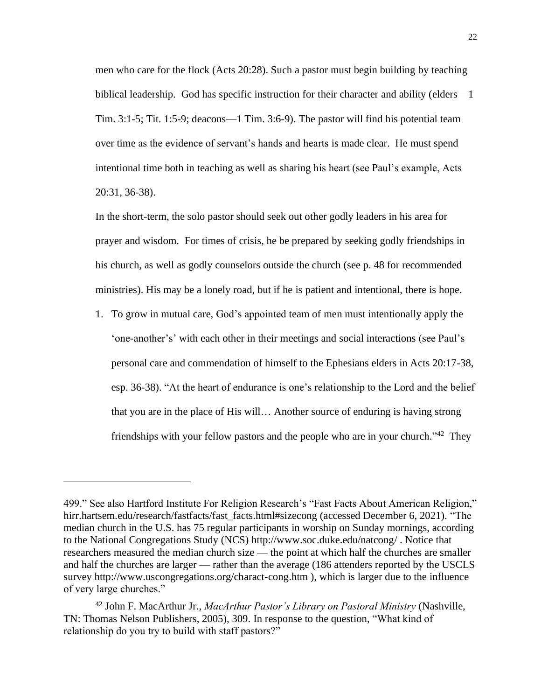men who care for the flock (Acts 20:28). Such a pastor must begin building by teaching biblical leadership. God has specific instruction for their character and ability (elders—1 Tim. 3:1-5; Tit. 1:5-9; deacons—1 Tim. 3:6-9). The pastor will find his potential team over time as the evidence of servant's hands and hearts is made clear. He must spend intentional time both in teaching as well as sharing his heart (see Paul's example, Acts 20:31, 36-38).

In the short-term, the solo pastor should seek out other godly leaders in his area for prayer and wisdom. For times of crisis, he be prepared by seeking godly friendships in his church, as well as godly counselors outside the church (see p. 48 for recommended ministries). His may be a lonely road, but if he is patient and intentional, there is hope.

1. To grow in mutual care, God's appointed team of men must intentionally apply the 'one-another's' with each other in their meetings and social interactions (see Paul's personal care and commendation of himself to the Ephesians elders in Acts 20:17-38, esp. 36-38). "At the heart of endurance is one's relationship to the Lord and the belief that you are in the place of His will… Another source of enduring is having strong friendships with your fellow pastors and the people who are in your church."<sup>42</sup> They

<sup>499.&</sup>quot; See also Hartford Institute For Religion Research's "Fast Facts About American Religion," hirr.hartsem.edu/research/fastfacts/fast\_facts.html#sizecong (accessed December 6, 2021). "The median church in the U.S. has 75 regular participants in worship on Sunday mornings, according to the National Congregations Study (NCS) http://www.soc.duke.edu/natcong/ . Notice that researchers measured the median church size — the point at which half the churches are smaller and half the churches are larger — rather than the average (186 attenders reported by the USCLS survey http://www.uscongregations.org/charact-cong.htm ), which is larger due to the influence of very large churches."

<sup>42</sup> John F. MacArthur Jr., *MacArthur Pastor's Library on Pastoral Ministry* (Nashville, TN: Thomas Nelson Publishers, 2005), 309. In response to the question, "What kind of relationship do you try to build with staff pastors?"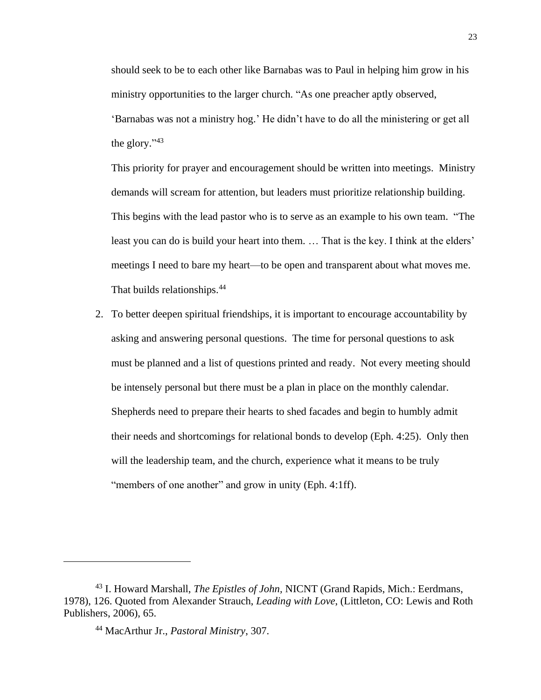should seek to be to each other like Barnabas was to Paul in helping him grow in his ministry opportunities to the larger church. "As one preacher aptly observed, 'Barnabas was not a ministry hog.' He didn't have to do all the ministering or get all the glory."<sup>43</sup>

This priority for prayer and encouragement should be written into meetings. Ministry demands will scream for attention, but leaders must prioritize relationship building. This begins with the lead pastor who is to serve as an example to his own team. "The least you can do is build your heart into them. ... That is the key. I think at the elders' meetings I need to bare my heart—to be open and transparent about what moves me. That builds relationships.<sup>44</sup>

2. To better deepen spiritual friendships, it is important to encourage accountability by asking and answering personal questions. The time for personal questions to ask must be planned and a list of questions printed and ready. Not every meeting should be intensely personal but there must be a plan in place on the monthly calendar. Shepherds need to prepare their hearts to shed facades and begin to humbly admit their needs and shortcomings for relational bonds to develop (Eph. 4:25). Only then will the leadership team, and the church, experience what it means to be truly "members of one another" and grow in unity (Eph. 4:1ff).

<sup>43</sup> I. Howard Marshall, *The Epistles of John,* NICNT (Grand Rapids, Mich.: Eerdmans, 1978), 126. Quoted from Alexander Strauch, *Leading with Love*, (Littleton, CO: Lewis and Roth Publishers, 2006), 65.

<sup>44</sup> MacArthur Jr., *Pastoral Ministry*, 307.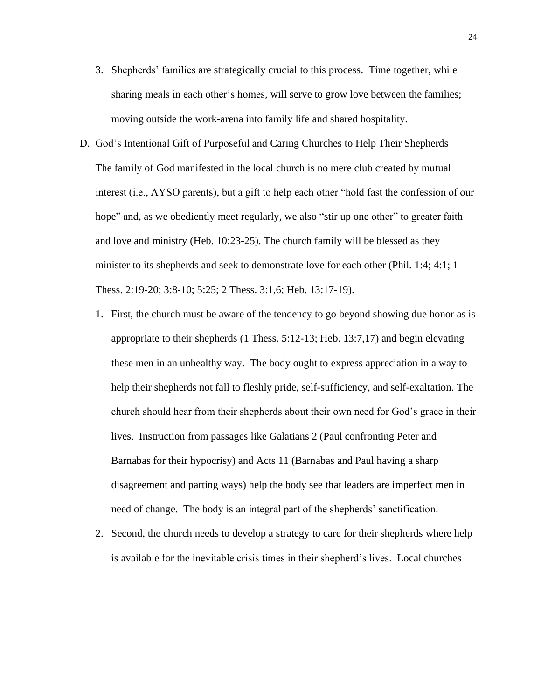- 3. Shepherds' families are strategically crucial to this process. Time together, while sharing meals in each other's homes, will serve to grow love between the families; moving outside the work-arena into family life and shared hospitality.
- D. God's Intentional Gift of Purposeful and Caring Churches to Help Their Shepherds The family of God manifested in the local church is no mere club created by mutual interest (i.e., AYSO parents), but a gift to help each other "hold fast the confession of our hope" and, as we obediently meet regularly, we also "stir up one other" to greater faith and love and ministry (Heb. 10:23-25). The church family will be blessed as they minister to its shepherds and seek to demonstrate love for each other (Phil. 1:4; 4:1; 1 Thess. 2:19-20; 3:8-10; 5:25; 2 Thess. 3:1,6; Heb. 13:17-19).
	- 1. First, the church must be aware of the tendency to go beyond showing due honor as is appropriate to their shepherds (1 Thess. 5:12-13; Heb. 13:7,17) and begin elevating these men in an unhealthy way. The body ought to express appreciation in a way to help their shepherds not fall to fleshly pride, self-sufficiency, and self-exaltation. The church should hear from their shepherds about their own need for God's grace in their lives. Instruction from passages like Galatians 2 (Paul confronting Peter and Barnabas for their hypocrisy) and Acts 11 (Barnabas and Paul having a sharp disagreement and parting ways) help the body see that leaders are imperfect men in need of change. The body is an integral part of the shepherds' sanctification.
	- 2. Second, the church needs to develop a strategy to care for their shepherds where help is available for the inevitable crisis times in their shepherd's lives. Local churches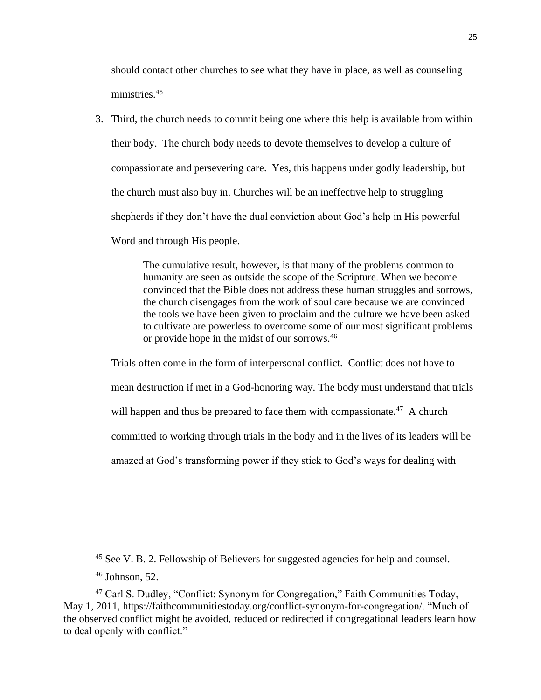should contact other churches to see what they have in place, as well as counseling ministries.<sup>45</sup>

3. Third, the church needs to commit being one where this help is available from within their body. The church body needs to devote themselves to develop a culture of compassionate and persevering care. Yes, this happens under godly leadership, but the church must also buy in. Churches will be an ineffective help to struggling shepherds if they don't have the dual conviction about God's help in His powerful Word and through His people.

> The cumulative result, however, is that many of the problems common to humanity are seen as outside the scope of the Scripture. When we become convinced that the Bible does not address these human struggles and sorrows, the church disengages from the work of soul care because we are convinced the tools we have been given to proclaim and the culture we have been asked to cultivate are powerless to overcome some of our most significant problems or provide hope in the midst of our sorrows.<sup>46</sup>

Trials often come in the form of interpersonal conflict. Conflict does not have to mean destruction if met in a God-honoring way. The body must understand that trials will happen and thus be prepared to face them with compassionate. $47$  A church committed to working through trials in the body and in the lives of its leaders will be amazed at God's transforming power if they stick to God's ways for dealing with

<sup>45</sup> See V. B. 2. Fellowship of Believers for suggested agencies for help and counsel.

 $46$  Johnson, 52.

<sup>47</sup> Carl S. Dudley, "Conflict: Synonym for Congregation," Faith Communities Today, May 1, 2011, https://faithcommunitiestoday.org/conflict-synonym-for-congregation/. "Much of the observed conflict might be avoided, reduced or redirected if congregational leaders learn how to deal openly with conflict."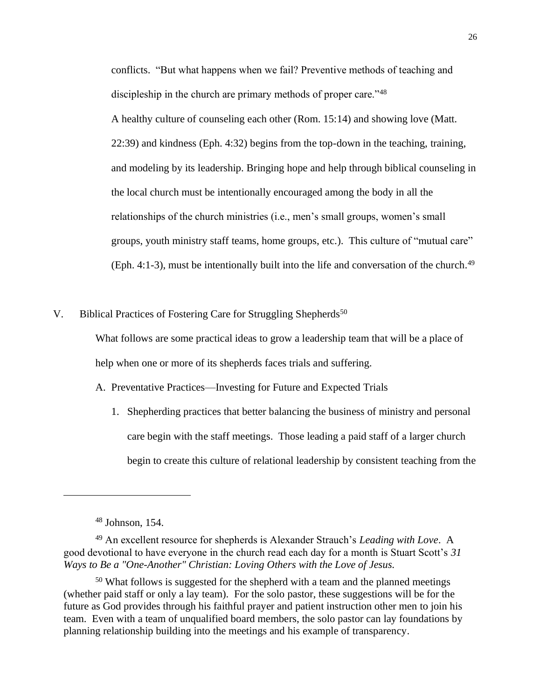conflicts. "But what happens when we fail? Preventive methods of teaching and discipleship in the church are primary methods of proper care."<sup>48</sup> A healthy culture of counseling each other (Rom. 15:14) and showing love (Matt. 22:39) and kindness (Eph. 4:32) begins from the top-down in the teaching, training, and modeling by its leadership. Bringing hope and help through biblical counseling in the local church must be intentionally encouraged among the body in all the relationships of the church ministries (i.e., men's small groups, women's small groups, youth ministry staff teams, home groups, etc.). This culture of "mutual care" (Eph. 4:1-3), must be intentionally built into the life and conversation of the church.<sup>49</sup>

V. Biblical Practices of Fostering Care for Struggling Shepherds<sup>50</sup>

What follows are some practical ideas to grow a leadership team that will be a place of help when one or more of its shepherds faces trials and suffering.

#### A. Preventative Practices—Investing for Future and Expected Trials

1. Shepherding practices that better balancing the business of ministry and personal care begin with the staff meetings. Those leading a paid staff of a larger church begin to create this culture of relational leadership by consistent teaching from the

<sup>50</sup> What follows is suggested for the shepherd with a team and the planned meetings (whether paid staff or only a lay team). For the solo pastor, these suggestions will be for the future as God provides through his faithful prayer and patient instruction other men to join his team. Even with a team of unqualified board members, the solo pastor can lay foundations by planning relationship building into the meetings and his example of transparency.

<sup>48</sup> Johnson, 154.

<sup>49</sup> An excellent resource for shepherds is Alexander Strauch's *Leading with Love*. A good devotional to have everyone in the church read each day for a month is Stuart Scott's *31 Ways to Be a "One-Another" Christian: Loving Others with the Love of Jesus.*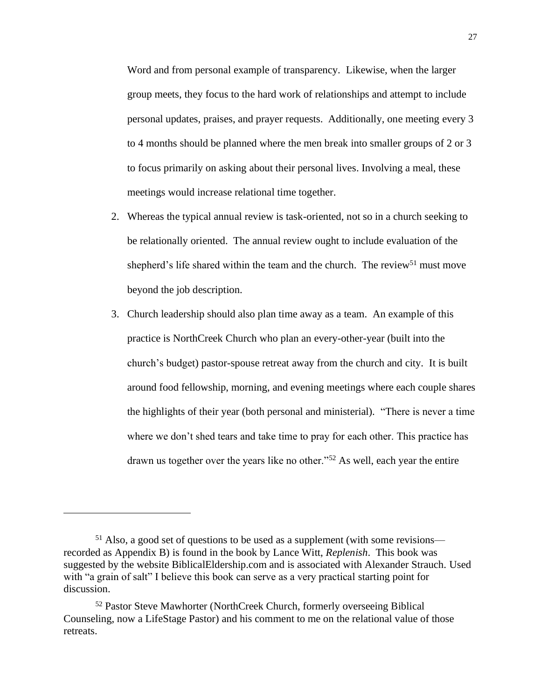Word and from personal example of transparency. Likewise, when the larger group meets, they focus to the hard work of relationships and attempt to include personal updates, praises, and prayer requests. Additionally, one meeting every 3 to 4 months should be planned where the men break into smaller groups of 2 or 3 to focus primarily on asking about their personal lives. Involving a meal, these meetings would increase relational time together.

- 2. Whereas the typical annual review is task-oriented, not so in a church seeking to be relationally oriented. The annual review ought to include evaluation of the shepherd's life shared within the team and the church. The review<sup>51</sup> must move beyond the job description.
- 3. Church leadership should also plan time away as a team. An example of this practice is NorthCreek Church who plan an every-other-year (built into the church's budget) pastor-spouse retreat away from the church and city. It is built around food fellowship, morning, and evening meetings where each couple shares the highlights of their year (both personal and ministerial). "There is never a time where we don't shed tears and take time to pray for each other. This practice has drawn us together over the years like no other."<sup>52</sup> As well, each year the entire

 $51$  Also, a good set of questions to be used as a supplement (with some revisions recorded as Appendix B) is found in the book by Lance Witt, *Replenish*. This book was suggested by the website BiblicalEldership.com and is associated with Alexander Strauch. Used with "a grain of salt" I believe this book can serve as a very practical starting point for discussion.

<sup>52</sup> Pastor Steve Mawhorter (NorthCreek Church, formerly overseeing Biblical Counseling, now a LifeStage Pastor) and his comment to me on the relational value of those retreats.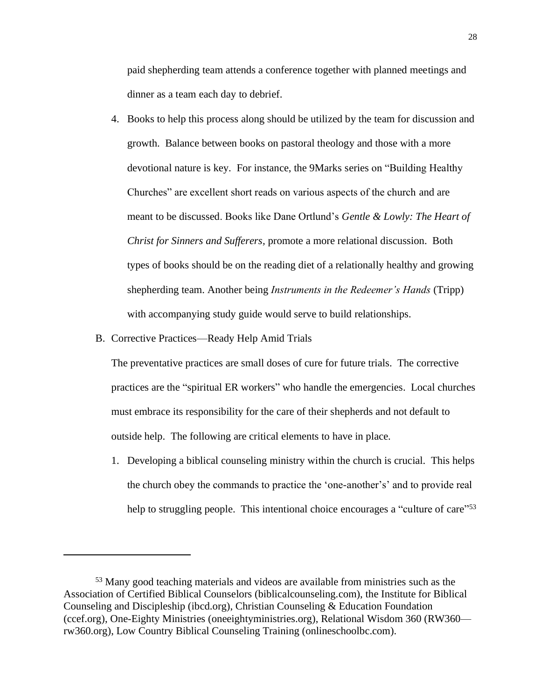paid shepherding team attends a conference together with planned meetings and dinner as a team each day to debrief.

- 4. Books to help this process along should be utilized by the team for discussion and growth. Balance between books on pastoral theology and those with a more devotional nature is key. For instance, the 9Marks series on "Building Healthy Churches" are excellent short reads on various aspects of the church and are meant to be discussed. Books like Dane Ortlund's *Gentle & Lowly: The Heart of Christ for Sinners and Sufferers,* promote a more relational discussion. Both types of books should be on the reading diet of a relationally healthy and growing shepherding team. Another being *Instruments in the Redeemer's Hands* (Tripp) with accompanying study guide would serve to build relationships.
- B. Corrective Practices—Ready Help Amid Trials

The preventative practices are small doses of cure for future trials. The corrective practices are the "spiritual ER workers" who handle the emergencies. Local churches must embrace its responsibility for the care of their shepherds and not default to outside help. The following are critical elements to have in place.

1. Developing a biblical counseling ministry within the church is crucial. This helps the church obey the commands to practice the 'one-another's' and to provide real help to struggling people. This intentional choice encourages a "culture of care"<sup>53</sup>

<sup>53</sup> Many good teaching materials and videos are available from ministries such as the Association of Certified Biblical Counselors (biblicalcounseling.com), the Institute for Biblical Counseling and Discipleship (ibcd.org), Christian Counseling & Education Foundation (ccef.org), One-Eighty Ministries (oneeightyministries.org), Relational Wisdom 360 (RW360 rw360.org), Low Country Biblical Counseling Training (onlineschoolbc.com).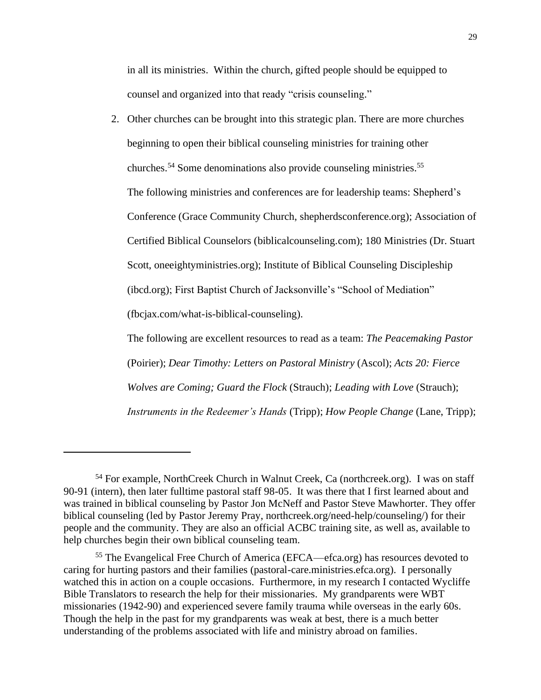in all its ministries. Within the church, gifted people should be equipped to counsel and organized into that ready "crisis counseling."

2. Other churches can be brought into this strategic plan. There are more churches beginning to open their biblical counseling ministries for training other churches.<sup>54</sup> Some denominations also provide counseling ministries. 55 The following ministries and conferences are for leadership teams: Shepherd's Conference (Grace Community Church, shepherdsconference.org); Association of Certified Biblical Counselors (biblicalcounseling.com); 180 Ministries (Dr. Stuart Scott, oneeightyministries.org); Institute of Biblical Counseling Discipleship (ibcd.org); First Baptist Church of Jacksonville's "School of Mediation" (fbcjax.com/what-is-biblical-counseling). The following are excellent resources to read as a team: *The Peacemaking Pastor*

(Poirier); *Dear Timothy: Letters on Pastoral Ministry* (Ascol); *Acts 20: Fierce* 

*Wolves are Coming; Guard the Flock* (Strauch); *Leading with Love* (Strauch);

*Instruments in the Redeemer's Hands* (Tripp); *How People Change* (Lane, Tripp);

<sup>54</sup> For example, NorthCreek Church in Walnut Creek, Ca (northcreek.org). I was on staff 90-91 (intern), then later fulltime pastoral staff 98-05. It was there that I first learned about and was trained in biblical counseling by Pastor Jon McNeff and Pastor Steve Mawhorter. They offer biblical counseling (led by Pastor Jeremy Pray, northcreek.org/need-help/counseling/) for their people and the community. They are also an official ACBC training site, as well as, available to help churches begin their own biblical counseling team.

<sup>55</sup> The Evangelical Free Church of America (EFCA—efca.org) has resources devoted to caring for hurting pastors and their families (pastoral-care.ministries.efca.org). I personally watched this in action on a couple occasions. Furthermore, in my research I contacted Wycliffe Bible Translators to research the help for their missionaries. My grandparents were WBT missionaries (1942-90) and experienced severe family trauma while overseas in the early 60s. Though the help in the past for my grandparents was weak at best, there is a much better understanding of the problems associated with life and ministry abroad on families.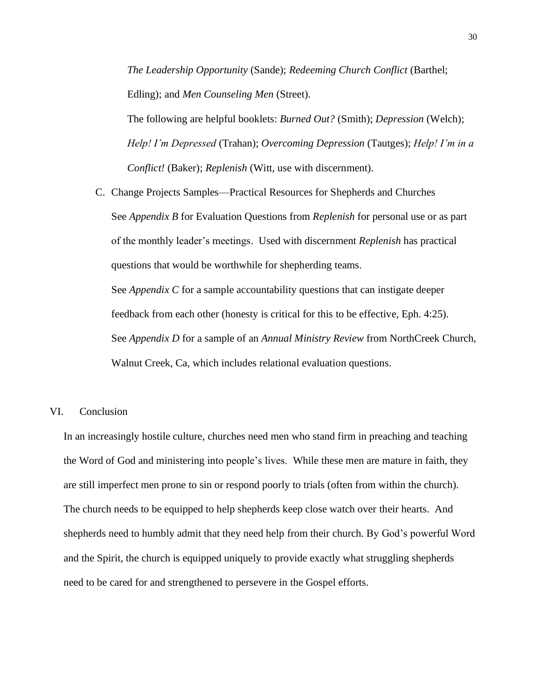*The Leadership Opportunity* (Sande); *Redeeming Church Conflict* (Barthel; Edling); and *Men Counseling Men* (Street).

The following are helpful booklets: *Burned Out?* (Smith); *Depression* (Welch); *Help! I'm Depressed* (Trahan); *Overcoming Depression* (Tautges); *Help! I'm in a Conflict!* (Baker); *Replenish* (Witt, use with discernment).

C. Change Projects Samples—Practical Resources for Shepherds and Churches See *Appendix B* for Evaluation Questions from *Replenish* for personal use or as part of the monthly leader's meetings. Used with discernment *Replenish* has practical questions that would be worthwhile for shepherding teams. See *Appendix C* for a sample accountability questions that can instigate deeper feedback from each other (honesty is critical for this to be effective, Eph. 4:25). See *Appendix D* for a sample of an *Annual Ministry Review* from NorthCreek Church,

Walnut Creek, Ca, which includes relational evaluation questions.

#### VI. Conclusion

In an increasingly hostile culture, churches need men who stand firm in preaching and teaching the Word of God and ministering into people's lives. While these men are mature in faith, they are still imperfect men prone to sin or respond poorly to trials (often from within the church). The church needs to be equipped to help shepherds keep close watch over their hearts. And shepherds need to humbly admit that they need help from their church. By God's powerful Word and the Spirit, the church is equipped uniquely to provide exactly what struggling shepherds need to be cared for and strengthened to persevere in the Gospel efforts.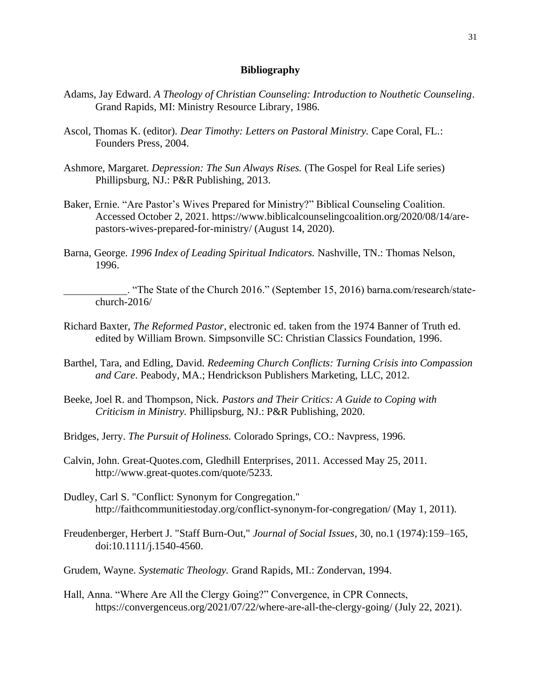#### **Bibliography**

- Adams, Jay Edward. *A Theology of Christian Counseling: Introduction to Nouthetic Counseling*. Grand Rapids, MI: Ministry Resource Library, 1986.
- Ascol, Thomas K. (editor). *Dear Timothy: Letters on Pastoral Ministry.* Cape Coral, FL.: Founders Press, 2004.
- Ashmore, Margaret. *Depression: The Sun Always Rises.* (The Gospel for Real Life series) Phillipsburg, NJ.: P&R Publishing, 2013.
- Baker, Ernie. "Are Pastor's Wives Prepared for Ministry?" Biblical Counseling Coalition. Accessed October 2, 2021. https://www.biblicalcounselingcoalition.org/2020/08/14/arepastors-wives-prepared-for-ministry/ (August 14, 2020).
- Barna, George. *1996 Index of Leading Spiritual Indicators.* Nashville, TN.: Thomas Nelson, 1996.

. "The State of the Church 2016." (September 15, 2016) barna.com/research/statechurch-2016/

- Richard Baxter, *The Reformed Pastor*, electronic ed. taken from the 1974 Banner of Truth ed. edited by William Brown. Simpsonville SC: Christian Classics Foundation, 1996.
- Barthel, Tara, and Edling, David. *Redeeming Church Conflicts: Turning Crisis into Compassion and Care*. Peabody, MA.; Hendrickson Publishers Marketing, LLC, 2012.
- Beeke, Joel R. and Thompson, Nick. *Pastors and Their Critics: A Guide to Coping with Criticism in Ministry.* Phillipsburg, NJ.: P&R Publishing, 2020.
- Bridges, Jerry. *The Pursuit of Holiness.* Colorado Springs, CO.: Navpress, 1996.
- Calvin, John. Great-Quotes.com, Gledhill Enterprises, 2011. Accessed May 25, 2011. http://www.great-quotes.com/quote/5233.
- Dudley, Carl S. "Conflict: Synonym for Congregation." http://faithcommunitiestoday.org/conflict-synonym-for-congregation/ (May 1, 2011).
- Freudenberger, Herbert J. "Staff Burn-Out," *Journal of Social Issues*, 30, no.1 (1974):159–165, doi:10.1111/j.1540-4560.
- Grudem, Wayne. *Systematic Theology.* Grand Rapids, MI.: Zondervan, 1994.
- Hall, Anna. "Where Are All the Clergy Going?" Convergence, in CPR Connects, https://convergenceus.org/2021/07/22/where-are-all-the-clergy-going/ (July 22, 2021).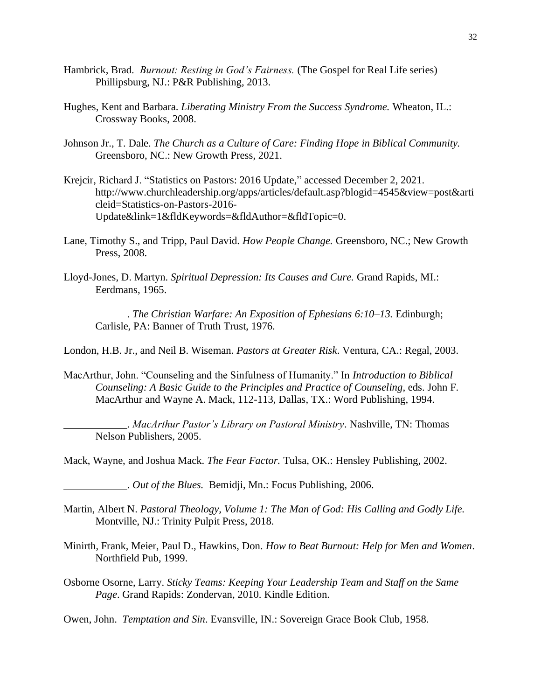- Hambrick, Brad. *Burnout: Resting in God's Fairness.* (The Gospel for Real Life series) Phillipsburg, NJ.: P&R Publishing, 2013.
- Hughes, Kent and Barbara. *Liberating Ministry From the Success Syndrome.* Wheaton, IL.: Crossway Books, 2008.
- Johnson Jr., T. Dale. *The Church as a Culture of Care: Finding Hope in Biblical Community.*  Greensboro, NC.: New Growth Press, 2021.
- Krejcir, Richard J. "Statistics on Pastors: 2016 Update," accessed December 2, 2021. http://www.churchleadership.org/apps/articles/default.asp?blogid=4545&view=post&arti cleid=Statistics-on-Pastors-2016- Update&link=1&fldKeywords=&fldAuthor=&fldTopic=0.
- Lane, Timothy S., and Tripp, Paul David. *How People Change.* Greensboro, NC.; New Growth Press, 2008.
- Lloyd-Jones, D. Martyn. *Spiritual Depression: Its Causes and Cure.* Grand Rapids, MI.: Eerdmans, 1965.

. *The Christian Warfare: An Exposition of Ephesians 6:10–13.* Edinburgh; Carlisle, PA: Banner of Truth Trust, 1976.

London, H.B. Jr., and Neil B. Wiseman. *Pastors at Greater Risk*. Ventura, CA.: Regal, 2003.

MacArthur, John. "Counseling and the Sinfulness of Humanity." In *Introduction to Biblical Counseling: A Basic Guide to the Principles and Practice of Counseling*, eds. John F. MacArthur and Wayne A. Mack, 112-113, Dallas, TX.: Word Publishing, 1994.

. *MacArthur Pastor's Library on Pastoral Ministry*. Nashville, TN: Thomas Nelson Publishers, 2005.

Mack, Wayne, and Joshua Mack. *The Fear Factor.* Tulsa, OK.: Hensley Publishing, 2002.

- Martin, Albert N. *Pastoral Theology, Volume 1: The Man of God: His Calling and Godly Life.*  Montville, NJ.: Trinity Pulpit Press, 2018.
- Minirth, Frank, Meier, Paul D., Hawkins, Don. *How to Beat Burnout: Help for Men and Women*. Northfield Pub, 1999.
- Osborne Osorne, Larry. *Sticky Teams: Keeping Your Leadership Team and Staff on the Same Page*. Grand Rapids: Zondervan, 2010. Kindle Edition.

Owen, John. *Temptation and Sin*. Evansville, IN.: Sovereign Grace Book Club, 1958.

<sup>.</sup> *Out of the Blues.* Bemidji, Mn.: Focus Publishing, 2006.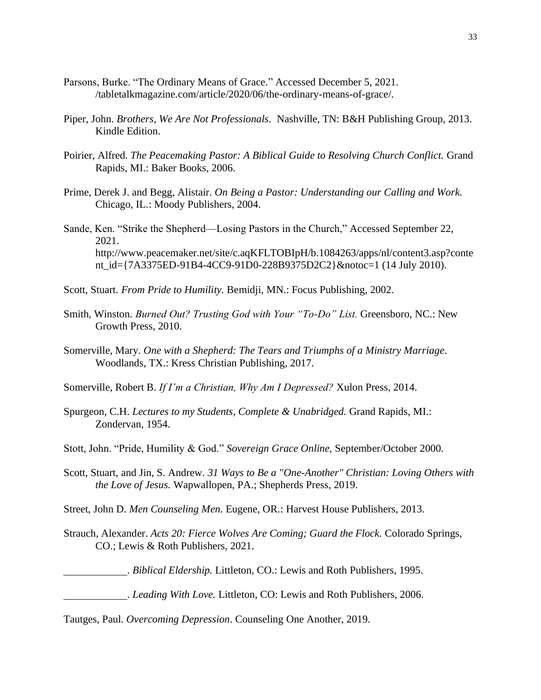- Parsons, Burke. "The Ordinary Means of Grace." Accessed December 5, 2021. /tabletalkmagazine.com/article/2020/06/the-ordinary-means-of-grace/.
- Piper, John. *Brothers, We Are Not Professionals*. Nashville, TN: B&H Publishing Group, 2013. Kindle Edition.
- Poirier, Alfred. *The Peacemaking Pastor: A Biblical Guide to Resolving Church Conflict*. Grand Rapids, MI.: Baker Books, 2006.
- Prime, Derek J. and Begg, Alistair. *On Being a Pastor: Understanding our Calling and Work.*  Chicago, IL.: Moody Publishers, 2004.
- Sande, Ken. "Strike the Shepherd—Losing Pastors in the Church," Accessed September 22, 2021. http://www.peacemaker.net/site/c.aqKFLTOBIpH/b.1084263/apps/nl/content3.asp?conte nt\_id={7A3375ED-91B4-4CC9-91D0-228B9375D2C2}&notoc=1 (14 July 2010).
- Scott, Stuart. *From Pride to Humility.* Bemidji, MN.: Focus Publishing, 2002.
- Smith, Winston. *Burned Out? Trusting God with Your "To-Do" List.* Greensboro, NC.: New Growth Press, 2010.
- Somerville, Mary. *One with a Shepherd: The Tears and Triumphs of a Ministry Marriage*. Woodlands, TX.: Kress Christian Publishing, 2017.
- Somerville, Robert B. *If I'm a Christian, Why Am I Depressed?* Xulon Press, 2014.
- Spurgeon, C.H. *Lectures to my Students, Complete & Unabridged.* Grand Rapids, MI.: Zondervan, 1954.
- Stott, John. "Pride, Humility & God." *Sovereign Grace Online,* September/October 2000.
- Scott, Stuart, and Jin, S. Andrew. *31 Ways to Be a "One-Another" Christian: Loving Others with the Love of Jesus.* Wapwallopen, PA.; Shepherds Press, 2019.
- Street, John D. *Men Counseling Men.* Eugene, OR.: Harvest House Publishers, 2013.
- Strauch*,* Alexander. *Acts 20: Fierce Wolves Are Coming; Guard the Flock.* Colorado Springs, CO.; Lewis & Roth Publishers, 2021.
	- . *Biblical Eldership.* Littleton, CO.: Lewis and Roth Publishers, 1995.
	- . *Leading With Love.* Littleton, CO: Lewis and Roth Publishers, 2006.

Tautges, Paul. *Overcoming Depression*. Counseling One Another, 2019.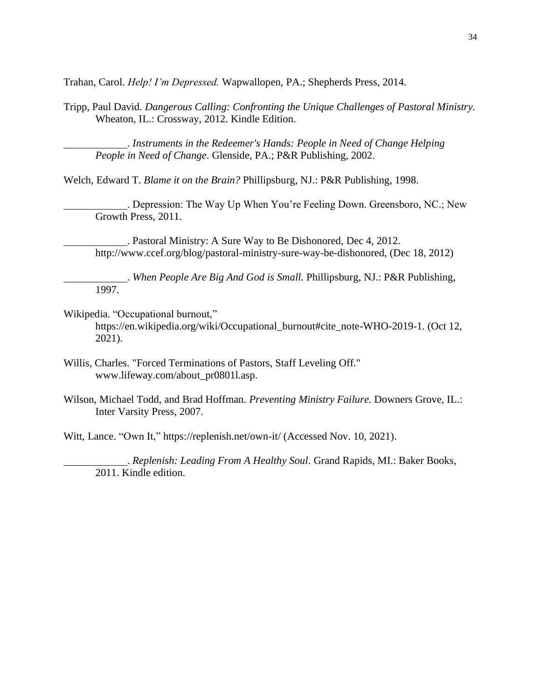Trahan, Carol. *Help! I'm Depressed.* Wapwallopen, PA.; Shepherds Press, 2014.

Tripp, Paul David. *Dangerous Calling: Confronting the Unique Challenges of Pastoral Ministry.* Wheaton, IL.: Crossway, 2012. Kindle Edition.

. *Instruments in the Redeemer's Hands: People in Need of Change Helping People in Need of Change*. Glenside, PA.; P&R Publishing, 2002.

Welch, Edward T. *Blame it on the Brain?* Phillipsburg, NJ.: P&R Publishing, 1998.

. Depression: The Way Up When You're Feeling Down. Greensboro, NC.; New Growth Press, 2011.

. Pastoral Ministry: A Sure Way to Be Dishonored, Dec 4, 2012. http://www.ccef.org/blog/pastoral-ministry-sure-way-be-dishonored, (Dec 18, 2012)

. *When People Are Big And God is Small.* Phillipsburg, NJ.: P&R Publishing, 1997.

- Wikipedia. "Occupational burnout," https://en.wikipedia.org/wiki/Occupational burnout#cite note-WHO-2019-1. (Oct 12, 2021).
- Willis, Charles. "Forced Terminations of Pastors, Staff Leveling Off." www.lifeway.com/about\_pr0801l.asp.
- Wilson, Michael Todd, and Brad Hoffman. *Preventing Ministry Failure.* Downers Grove, IL.: Inter Varsity Press, 2007.

Witt, Lance. "Own It," https://replenish.net/own-it/ (Accessed Nov. 10, 2021).

. *Replenish: Leading From A Healthy Soul*. Grand Rapids, MI.: Baker Books, 2011. Kindle edition.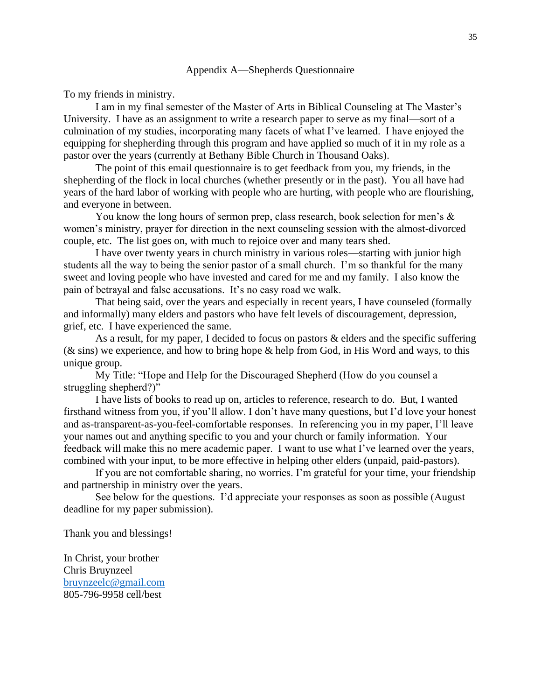#### Appendix A—Shepherds Questionnaire

To my friends in ministry.

I am in my final semester of the Master of Arts in Biblical Counseling at The Master's University. I have as an assignment to write a research paper to serve as my final—sort of a culmination of my studies, incorporating many facets of what I've learned. I have enjoyed the equipping for shepherding through this program and have applied so much of it in my role as a pastor over the years (currently at Bethany Bible Church in Thousand Oaks).

The point of this email questionnaire is to get feedback from you, my friends, in the shepherding of the flock in local churches (whether presently or in the past). You all have had years of the hard labor of working with people who are hurting, with people who are flourishing, and everyone in between.

You know the long hours of sermon prep, class research, book selection for men's  $\&$ women's ministry, prayer for direction in the next counseling session with the almost-divorced couple, etc. The list goes on, with much to rejoice over and many tears shed.

I have over twenty years in church ministry in various roles—starting with junior high students all the way to being the senior pastor of a small church. I'm so thankful for the many sweet and loving people who have invested and cared for me and my family. I also know the pain of betrayal and false accusations. It's no easy road we walk.

That being said, over the years and especially in recent years, I have counseled (formally and informally) many elders and pastors who have felt levels of discouragement, depression, grief, etc. I have experienced the same.

As a result, for my paper, I decided to focus on pastors & elders and the specific suffering  $(\&$  sins) we experience, and how to bring hope  $\&$  help from God, in His Word and ways, to this unique group.

My Title: "Hope and Help for the Discouraged Shepherd (How do you counsel a struggling shepherd?)"

I have lists of books to read up on, articles to reference, research to do. But, I wanted firsthand witness from you, if you'll allow. I don't have many questions, but I'd love your honest and as-transparent-as-you-feel-comfortable responses. In referencing you in my paper, I'll leave your names out and anything specific to you and your church or family information. Your feedback will make this no mere academic paper. I want to use what I've learned over the years, combined with your input, to be more effective in helping other elders (unpaid, paid-pastors).

If you are not comfortable sharing, no worries. I'm grateful for your time, your friendship and partnership in ministry over the years.

See below for the questions. I'd appreciate your responses as soon as possible (August deadline for my paper submission).

Thank you and blessings!

In Christ, your brother Chris Bruynzeel [bruynzeelc@gmail.com](mailto:bruynzeelc@gmail.com) 805-796-9958 cell/best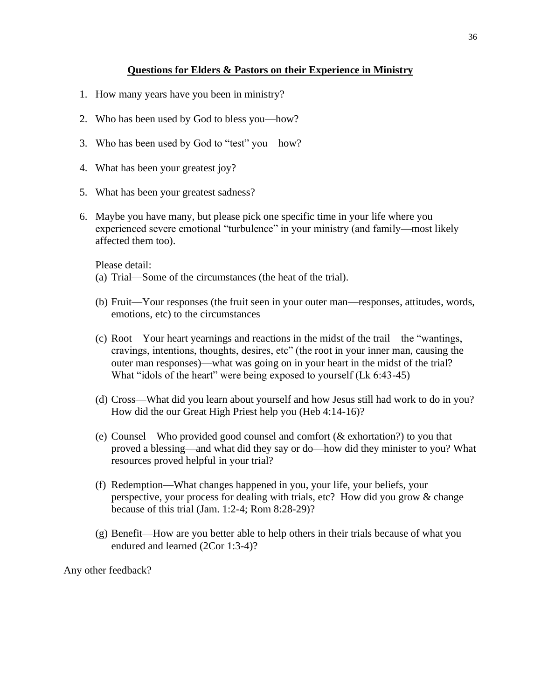# **Questions for Elders & Pastors on their Experience in Ministry**

- 1. How many years have you been in ministry?
- 2. Who has been used by God to bless you—how?
- 3. Who has been used by God to "test" you—how?
- 4. What has been your greatest joy?
- 5. What has been your greatest sadness?
- 6. Maybe you have many, but please pick one specific time in your life where you experienced severe emotional "turbulence" in your ministry (and family—most likely affected them too).

Please detail:

- (a) Trial—Some of the circumstances (the heat of the trial).
- (b) Fruit—Your responses (the fruit seen in your outer man—responses, attitudes, words, emotions, etc) to the circumstances
- (c) Root—Your heart yearnings and reactions in the midst of the trail—the "wantings, cravings, intentions, thoughts, desires, etc" (the root in your inner man, causing the outer man responses)—what was going on in your heart in the midst of the trial? What "idols of the heart" were being exposed to yourself (Lk 6:43-45)
- (d) Cross—What did you learn about yourself and how Jesus still had work to do in you? How did the our Great High Priest help you (Heb 4:14-16)?
- (e) Counsel—Who provided good counsel and comfort (& exhortation?) to you that proved a blessing—and what did they say or do—how did they minister to you? What resources proved helpful in your trial?
- (f) Redemption—What changes happened in you, your life, your beliefs, your perspective, your process for dealing with trials, etc? How did you grow & change because of this trial (Jam. 1:2-4; Rom 8:28-29)?
- (g) Benefit—How are you better able to help others in their trials because of what you endured and learned (2Cor 1:3-4)?

Any other feedback?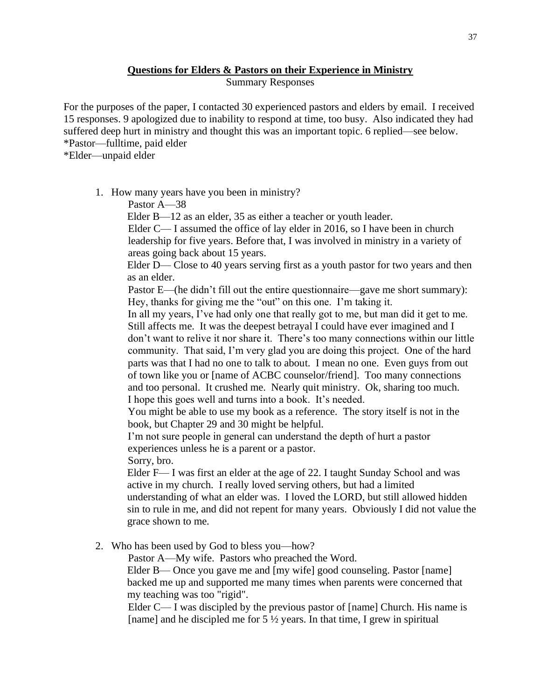### **Questions for Elders & Pastors on their Experience in Ministry**

Summary Responses

For the purposes of the paper, I contacted 30 experienced pastors and elders by email. I received 15 responses. 9 apologized due to inability to respond at time, too busy. Also indicated they had suffered deep hurt in ministry and thought this was an important topic. 6 replied—see below. \*Pastor—fulltime, paid elder

\*Elder—unpaid elder

1. How many years have you been in ministry?

Pastor A—38

Elder B—12 as an elder, 35 as either a teacher or youth leader.

Elder C— I assumed the office of lay elder in 2016, so I have been in church leadership for five years. Before that, I was involved in ministry in a variety of areas going back about 15 years.

Elder D— Close to 40 years serving first as a youth pastor for two years and then as an elder.

Pastor E—(he didn't fill out the entire questionnaire—gave me short summary): Hey, thanks for giving me the "out" on this one. I'm taking it.

In all my years, I've had only one that really got to me, but man did it get to me. Still affects me. It was the deepest betrayal I could have ever imagined and I don't want to relive it nor share it. There's too many connections within our little community. That said, I'm very glad you are doing this project. One of the hard parts was that I had no one to talk to about. I mean no one. Even guys from out of town like you or [name of ACBC counselor/friend]. Too many connections and too personal. It crushed me. Nearly quit ministry. Ok, sharing too much. I hope this goes well and turns into a book. It's needed.

You might be able to use my book as a reference. The story itself is not in the book, but Chapter 29 and 30 might be helpful.

I'm not sure people in general can understand the depth of hurt a pastor experiences unless he is a parent or a pastor.

Sorry, bro.

Elder F— I was first an elder at the age of 22. I taught Sunday School and was active in my church. I really loved serving others, but had a limited understanding of what an elder was. I loved the LORD, but still allowed hidden sin to rule in me, and did not repent for many years. Obviously I did not value the grace shown to me.

2. Who has been used by God to bless you—how?

Pastor A—My wife. Pastors who preached the Word.

Elder B— Once you gave me and [my wife] good counseling. Pastor [name] backed me up and supported me many times when parents were concerned that my teaching was too "rigid".

Elder C— I was discipled by the previous pastor of [name] Church. His name is [name] and he discipled me for  $5\frac{1}{2}$  years. In that time, I grew in spiritual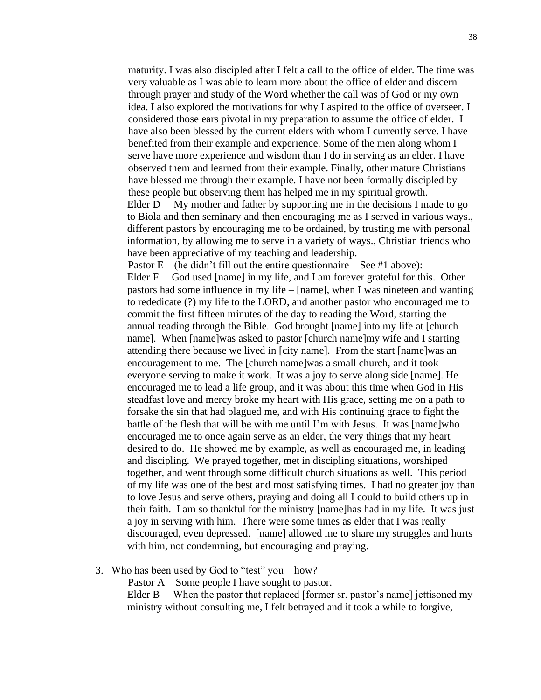maturity. I was also discipled after I felt a call to the office of elder. The time was very valuable as I was able to learn more about the office of elder and discern through prayer and study of the Word whether the call was of God or my own idea. I also explored the motivations for why I aspired to the office of overseer. I considered those ears pivotal in my preparation to assume the office of elder. I have also been blessed by the current elders with whom I currently serve. I have benefited from their example and experience. Some of the men along whom I serve have more experience and wisdom than I do in serving as an elder. I have observed them and learned from their example. Finally, other mature Christians have blessed me through their example. I have not been formally discipled by these people but observing them has helped me in my spiritual growth. Elder D— My mother and father by supporting me in the decisions I made to go to Biola and then seminary and then encouraging me as I served in various ways., different pastors by encouraging me to be ordained, by trusting me with personal information, by allowing me to serve in a variety of ways., Christian friends who have been appreciative of my teaching and leadership.

Pastor E—(he didn't fill out the entire questionnaire—See #1 above): Elder F— God used [name] in my life, and I am forever grateful for this. Other pastors had some influence in my life – [name], when I was nineteen and wanting to rededicate (?) my life to the LORD, and another pastor who encouraged me to commit the first fifteen minutes of the day to reading the Word, starting the annual reading through the Bible. God brought [name] into my life at [church name]. When [name]was asked to pastor [church name]my wife and I starting attending there because we lived in [city name]. From the start [name]was an encouragement to me. The [church name]was a small church, and it took everyone serving to make it work. It was a joy to serve along side [name]. He encouraged me to lead a life group, and it was about this time when God in His steadfast love and mercy broke my heart with His grace, setting me on a path to forsake the sin that had plagued me, and with His continuing grace to fight the battle of the flesh that will be with me until I'm with Jesus. It was [name]who encouraged me to once again serve as an elder, the very things that my heart desired to do. He showed me by example, as well as encouraged me, in leading and discipling. We prayed together, met in discipling situations, worshiped together, and went through some difficult church situations as well. This period of my life was one of the best and most satisfying times. I had no greater joy than to love Jesus and serve others, praying and doing all I could to build others up in their faith. I am so thankful for the ministry [name]has had in my life. It was just a joy in serving with him. There were some times as elder that I was really discouraged, even depressed. [name] allowed me to share my struggles and hurts with him, not condemning, but encouraging and praying.

3. Who has been used by God to "test" you—how?

Pastor A—Some people I have sought to pastor.

Elder B— When the pastor that replaced [former sr. pastor's name] jettisoned my ministry without consulting me, I felt betrayed and it took a while to forgive,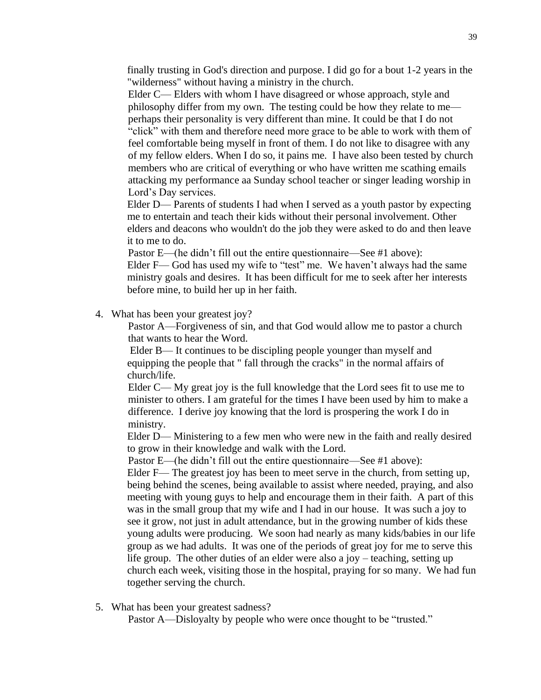finally trusting in God's direction and purpose. I did go for a bout 1-2 years in the "wilderness" without having a ministry in the church.

Elder C— Elders with whom I have disagreed or whose approach, style and philosophy differ from my own. The testing could be how they relate to me perhaps their personality is very different than mine. It could be that I do not "click" with them and therefore need more grace to be able to work with them of feel comfortable being myself in front of them. I do not like to disagree with any of my fellow elders. When I do so, it pains me. I have also been tested by church members who are critical of everything or who have written me scathing emails attacking my performance aa Sunday school teacher or singer leading worship in Lord's Day services.

Elder D— Parents of students I had when I served as a youth pastor by expecting me to entertain and teach their kids without their personal involvement. Other elders and deacons who wouldn't do the job they were asked to do and then leave it to me to do.

Pastor E—(he didn't fill out the entire questionnaire—See #1 above):

Elder F— God has used my wife to "test" me. We haven't always had the same ministry goals and desires. It has been difficult for me to seek after her interests before mine, to build her up in her faith.

4. What has been your greatest joy?

Pastor A—Forgiveness of sin, and that God would allow me to pastor a church that wants to hear the Word.

Elder B— It continues to be discipling people younger than myself and equipping the people that " fall through the cracks" in the normal affairs of church/life.

Elder C— My great joy is the full knowledge that the Lord sees fit to use me to minister to others. I am grateful for the times I have been used by him to make a difference. I derive joy knowing that the lord is prospering the work I do in ministry.

Elder D— Ministering to a few men who were new in the faith and really desired to grow in their knowledge and walk with the Lord.

Pastor E—(he didn't fill out the entire questionnaire—See #1 above):

Elder F— The greatest joy has been to meet serve in the church, from setting up, being behind the scenes, being available to assist where needed, praying, and also meeting with young guys to help and encourage them in their faith. A part of this was in the small group that my wife and I had in our house. It was such a joy to see it grow, not just in adult attendance, but in the growing number of kids these young adults were producing. We soon had nearly as many kids/babies in our life group as we had adults. It was one of the periods of great joy for me to serve this life group. The other duties of an elder were also a joy – teaching, setting up church each week, visiting those in the hospital, praying for so many. We had fun together serving the church.

5. What has been your greatest sadness?

Pastor A—Disloyalty by people who were once thought to be "trusted."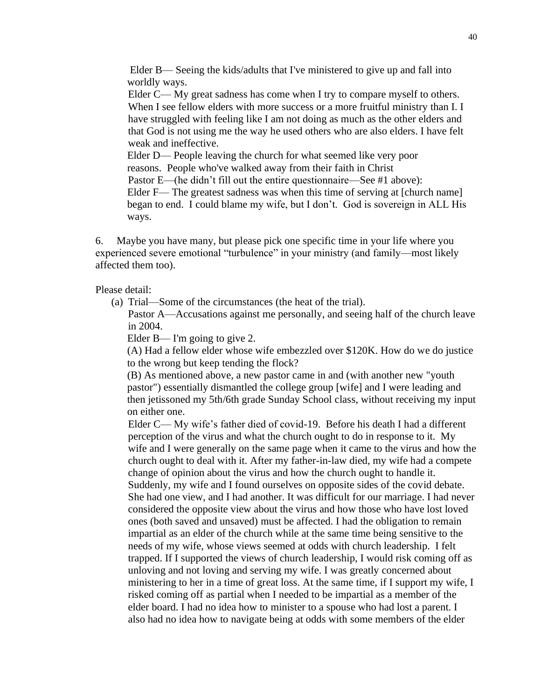Elder B— Seeing the kids/adults that I've ministered to give up and fall into worldly ways.

Elder C— My great sadness has come when I try to compare myself to others. When I see fellow elders with more success or a more fruitful ministry than I. I have struggled with feeling like I am not doing as much as the other elders and that God is not using me the way he used others who are also elders. I have felt weak and ineffective.

Elder D— People leaving the church for what seemed like very poor reasons. People who've walked away from their faith in Christ

Pastor E—(he didn't fill out the entire questionnaire—See #1 above):

Elder F— The greatest sadness was when this time of serving at [church name] began to end. I could blame my wife, but I don't. God is sovereign in ALL His ways.

6. Maybe you have many, but please pick one specific time in your life where you experienced severe emotional "turbulence" in your ministry (and family—most likely affected them too).

#### Please detail:

(a) Trial—Some of the circumstances (the heat of the trial).

Pastor A—Accusations against me personally, and seeing half of the church leave in 2004.

Elder B— I'm going to give 2.

(A) Had a fellow elder whose wife embezzled over \$120K. How do we do justice to the wrong but keep tending the flock?

(B) As mentioned above, a new pastor came in and (with another new "youth pastor") essentially dismantled the college group [wife] and I were leading and then jetissoned my 5th/6th grade Sunday School class, without receiving my input on either one.

Elder C— My wife's father died of covid-19. Before his death I had a different perception of the virus and what the church ought to do in response to it. My wife and I were generally on the same page when it came to the virus and how the church ought to deal with it. After my father-in-law died, my wife had a compete change of opinion about the virus and how the church ought to handle it. Suddenly, my wife and I found ourselves on opposite sides of the covid debate. She had one view, and I had another. It was difficult for our marriage. I had never considered the opposite view about the virus and how those who have lost loved ones (both saved and unsaved) must be affected. I had the obligation to remain impartial as an elder of the church while at the same time being sensitive to the needs of my wife, whose views seemed at odds with church leadership. I felt trapped. If I supported the views of church leadership, I would risk coming off as unloving and not loving and serving my wife. I was greatly concerned about ministering to her in a time of great loss. At the same time, if I support my wife, I risked coming off as partial when I needed to be impartial as a member of the elder board. I had no idea how to minister to a spouse who had lost a parent. I also had no idea how to navigate being at odds with some members of the elder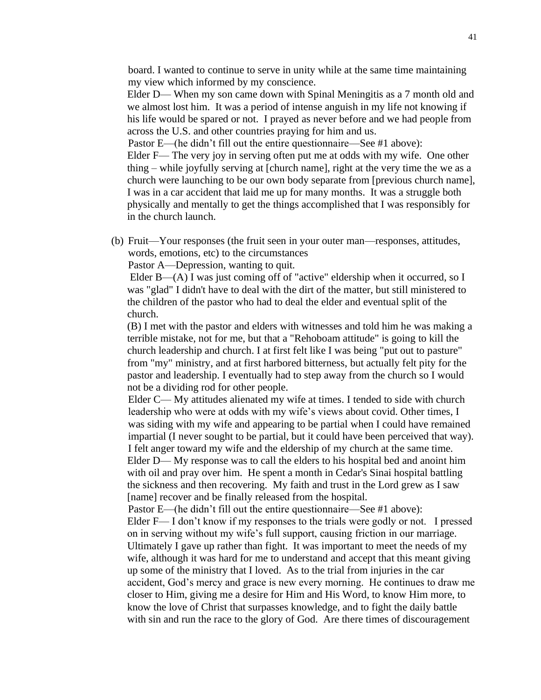board. I wanted to continue to serve in unity while at the same time maintaining my view which informed by my conscience.

Elder D— When my son came down with Spinal Meningitis as a 7 month old and we almost lost him. It was a period of intense anguish in my life not knowing if his life would be spared or not. I prayed as never before and we had people from across the U.S. and other countries praying for him and us.

Pastor E—(he didn't fill out the entire questionnaire—See #1 above):

Elder F— The very joy in serving often put me at odds with my wife. One other thing – while joyfully serving at [church name], right at the very time the we as a church were launching to be our own body separate from [previous church name], I was in a car accident that laid me up for many months. It was a struggle both physically and mentally to get the things accomplished that I was responsibly for in the church launch.

(b) Fruit—Your responses (the fruit seen in your outer man—responses, attitudes, words, emotions, etc) to the circumstances

Pastor A—Depression, wanting to quit.

Elder  $B-(A)$  I was just coming off of "active" eldership when it occurred, so I was "glad" I didn't have to deal with the dirt of the matter, but still ministered to the children of the pastor who had to deal the elder and eventual split of the church.

(B) I met with the pastor and elders with witnesses and told him he was making a terrible mistake, not for me, but that a "Rehoboam attitude" is going to kill the church leadership and church. I at first felt like I was being "put out to pasture" from "my" ministry, and at first harbored bitterness, but actually felt pity for the pastor and leadership. I eventually had to step away from the church so I would not be a dividing rod for other people.

Elder C— My attitudes alienated my wife at times. I tended to side with church leadership who were at odds with my wife's views about covid. Other times, I was siding with my wife and appearing to be partial when I could have remained impartial (I never sought to be partial, but it could have been perceived that way). I felt anger toward my wife and the eldership of my church at the same time. Elder D— My response was to call the elders to his hospital bed and anoint him with oil and pray over him. He spent a month in Cedar's Sinai hospital battling the sickness and then recovering. My faith and trust in the Lord grew as I saw [name] recover and be finally released from the hospital.

Pastor E—(he didn't fill out the entire questionnaire—See #1 above): Elder F— I don't know if my responses to the trials were godly or not. I pressed on in serving without my wife's full support, causing friction in our marriage. Ultimately I gave up rather than fight. It was important to meet the needs of my wife, although it was hard for me to understand and accept that this meant giving up some of the ministry that I loved. As to the trial from injuries in the car accident, God's mercy and grace is new every morning. He continues to draw me closer to Him, giving me a desire for Him and His Word, to know Him more, to know the love of Christ that surpasses knowledge, and to fight the daily battle with sin and run the race to the glory of God. Are there times of discouragement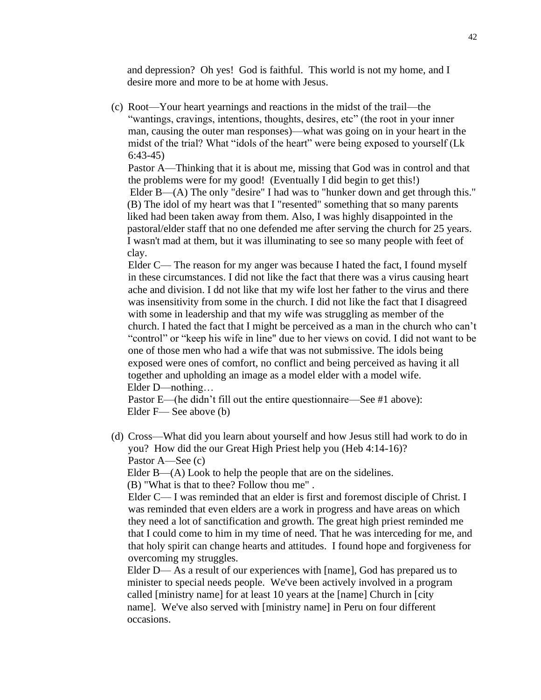and depression? Oh yes! God is faithful. This world is not my home, and I desire more and more to be at home with Jesus.

(c) Root—Your heart yearnings and reactions in the midst of the trail—the "wantings, cravings, intentions, thoughts, desires, etc" (the root in your inner man, causing the outer man responses)—what was going on in your heart in the midst of the trial? What "idols of the heart" were being exposed to yourself (Lk 6:43-45)

Pastor A—Thinking that it is about me, missing that God was in control and that the problems were for my good! (Eventually I did begin to get this!) Elder B—(A) The only "desire" I had was to "hunker down and get through this." (B) The idol of my heart was that I "resented" something that so many parents liked had been taken away from them. Also, I was highly disappointed in the

pastoral/elder staff that no one defended me after serving the church for 25 years. I wasn't mad at them, but it was illuminating to see so many people with feet of clay.

Elder C— The reason for my anger was because I hated the fact, I found myself in these circumstances. I did not like the fact that there was a virus causing heart ache and division. I dd not like that my wife lost her father to the virus and there was insensitivity from some in the church. I did not like the fact that I disagreed with some in leadership and that my wife was struggling as member of the church. I hated the fact that I might be perceived as a man in the church who can't "control" or "keep his wife in line" due to her views on covid. I did not want to be one of those men who had a wife that was not submissive. The idols being exposed were ones of comfort, no conflict and being perceived as having it all together and upholding an image as a model elder with a model wife. Elder D—nothing…

Pastor E—(he didn't fill out the entire questionnaire—See #1 above): Elder F— See above (b)

(d) Cross—What did you learn about yourself and how Jesus still had work to do in you? How did the our Great High Priest help you (Heb 4:14-16)? Pastor A—See (c)

Elder B—(A) Look to help the people that are on the sidelines.

(B) "What is that to thee? Follow thou me" .

Elder C— I was reminded that an elder is first and foremost disciple of Christ. I was reminded that even elders are a work in progress and have areas on which they need a lot of sanctification and growth. The great high priest reminded me that I could come to him in my time of need. That he was interceding for me, and that holy spirit can change hearts and attitudes. I found hope and forgiveness for overcoming my struggles.

Elder D— As a result of our experiences with [name], God has prepared us to minister to special needs people. We've been actively involved in a program called [ministry name] for at least 10 years at the [name] Church in [city name]. We've also served with [ministry name] in Peru on four different occasions.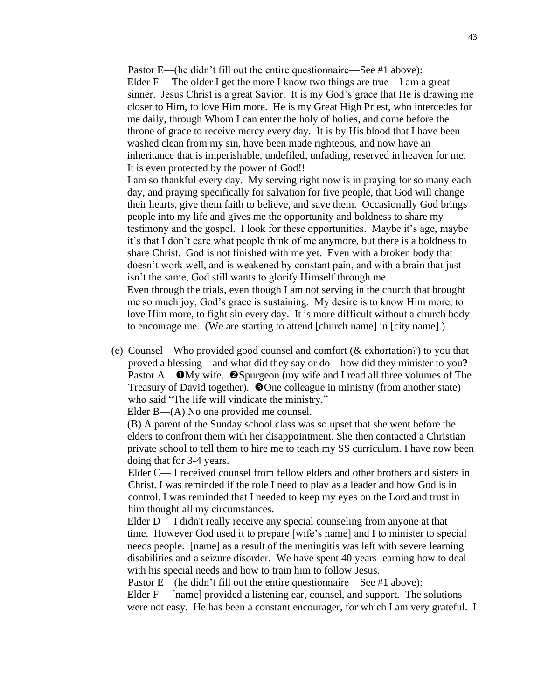Pastor E—(he didn't fill out the entire questionnaire—See #1 above): Elder F— The older I get the more I know two things are true  $-$  I am a great sinner. Jesus Christ is a great Savior. It is my God's grace that He is drawing me closer to Him, to love Him more. He is my Great High Priest, who intercedes for me daily, through Whom I can enter the holy of holies, and come before the throne of grace to receive mercy every day. It is by His blood that I have been washed clean from my sin, have been made righteous, and now have an inheritance that is imperishable, undefiled, unfading, reserved in heaven for me. It is even protected by the power of God!!

I am so thankful every day. My serving right now is in praying for so many each day, and praying specifically for salvation for five people, that God will change their hearts, give them faith to believe, and save them. Occasionally God brings people into my life and gives me the opportunity and boldness to share my testimony and the gospel. I look for these opportunities. Maybe it's age, maybe it's that I don't care what people think of me anymore, but there is a boldness to share Christ. God is not finished with me yet. Even with a broken body that doesn't work well, and is weakened by constant pain, and with a brain that just isn't the same, God still wants to glorify Himself through me. Even through the trials, even though I am not serving in the church that brought me so much joy, God's grace is sustaining. My desire is to know Him more, to love Him more, to fight sin every day. It is more difficult without a church body to encourage me. (We are starting to attend [church name] in [city name].)

(e) Counsel—Who provided good counsel and comfort (& exhortation?) to you that proved a blessing—and what did they say or do—how did they minister to you**?**  Pastor  $A$ — $\bullet$ My wife.  $\bullet$ Spurgeon (my wife and I read all three volumes of The Treasury of David together). **O**One colleague in ministry (from another state) who said "The life will vindicate the ministry."

Elder B—(A) No one provided me counsel.

(B) A parent of the Sunday school class was so upset that she went before the elders to confront them with her disappointment. She then contacted a Christian private school to tell them to hire me to teach my SS curriculum. I have now been doing that for 3-4 years.

Elder C— I received counsel from fellow elders and other brothers and sisters in Christ. I was reminded if the role I need to play as a leader and how God is in control. I was reminded that I needed to keep my eyes on the Lord and trust in him thought all my circumstances.

Elder D— I didn't really receive any special counseling from anyone at that time. However God used it to prepare [wife's name] and I to minister to special needs people. [name] as a result of the meningitis was left with severe learning disabilities and a seizure disorder. We have spent 40 years learning how to deal with his special needs and how to train him to follow Jesus.

Pastor E—(he didn't fill out the entire questionnaire—See #1 above):

Elder F— [name] provided a listening ear, counsel, and support. The solutions were not easy. He has been a constant encourager, for which I am very grateful. I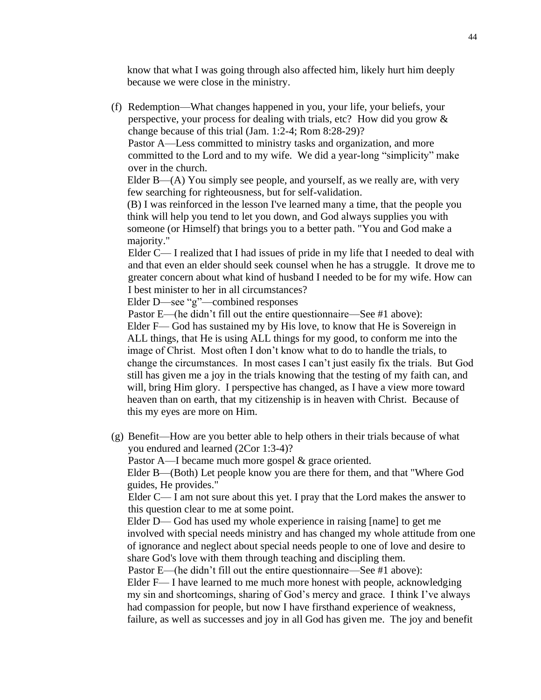know that what I was going through also affected him, likely hurt him deeply because we were close in the ministry.

(f) Redemption—What changes happened in you, your life, your beliefs, your perspective, your process for dealing with trials, etc? How did you grow & change because of this trial (Jam. 1:2-4; Rom 8:28-29)?

Pastor A—Less committed to ministry tasks and organization, and more committed to the Lord and to my wife. We did a year-long "simplicity" make over in the church.

Elder  $B$ —(A) You simply see people, and yourself, as we really are, with very few searching for righteousness, but for self-validation.

(B) I was reinforced in the lesson I've learned many a time, that the people you think will help you tend to let you down, and God always supplies you with someone (or Himself) that brings you to a better path. "You and God make a majority."

Elder C— I realized that I had issues of pride in my life that I needed to deal with and that even an elder should seek counsel when he has a struggle. It drove me to greater concern about what kind of husband I needed to be for my wife. How can I best minister to her in all circumstances?

Elder D—see "g"—combined responses

Pastor E—(he didn't fill out the entire questionnaire—See #1 above):

Elder F— God has sustained my by His love, to know that He is Sovereign in ALL things, that He is using ALL things for my good, to conform me into the image of Christ. Most often I don't know what to do to handle the trials, to change the circumstances. In most cases I can't just easily fix the trials. But God still has given me a joy in the trials knowing that the testing of my faith can, and will, bring Him glory. I perspective has changed, as I have a view more toward heaven than on earth, that my citizenship is in heaven with Christ. Because of this my eyes are more on Him.

(g) Benefit—How are you better able to help others in their trials because of what you endured and learned (2Cor 1:3-4)?

Pastor A—I became much more gospel & grace oriented.

Elder B—(Both) Let people know you are there for them, and that "Where God guides, He provides."

Elder C— I am not sure about this yet. I pray that the Lord makes the answer to this question clear to me at some point.

Elder D— God has used my whole experience in raising [name] to get me involved with special needs ministry and has changed my whole attitude from one of ignorance and neglect about special needs people to one of love and desire to share God's love with them through teaching and discipling them.

Pastor E—(he didn't fill out the entire questionnaire—See #1 above):

Elder F— I have learned to me much more honest with people, acknowledging my sin and shortcomings, sharing of God's mercy and grace. I think I've always had compassion for people, but now I have firsthand experience of weakness, failure, as well as successes and joy in all God has given me. The joy and benefit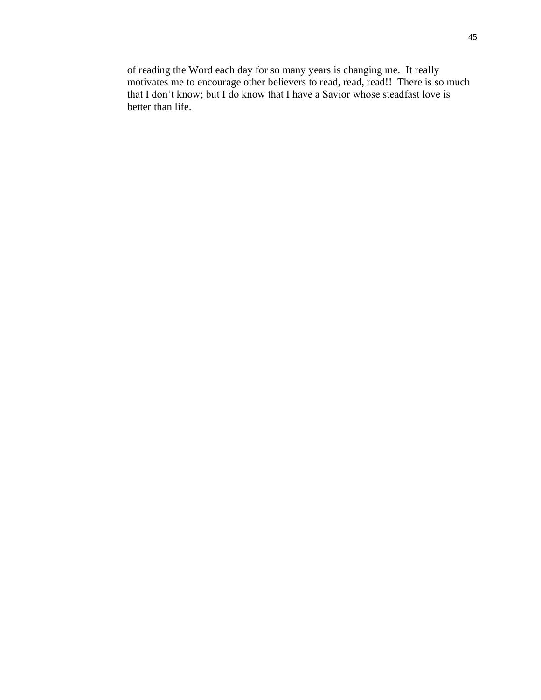of reading the Word each day for so many years is changing me. It really motivates me to encourage other believers to read, read, read!! There is so much that I don't know; but I do know that I have a Savior whose steadfast love is better than life.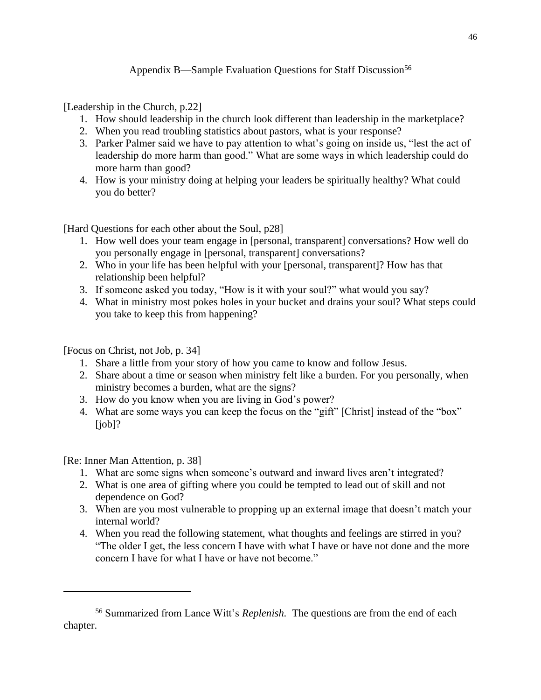Appendix B—Sample Evaluation Questions for Staff Discussion<sup>56</sup>

[Leadership in the Church, p.22]

- 1. How should leadership in the church look different than leadership in the marketplace?
- 2. When you read troubling statistics about pastors, what is your response?
- 3. Parker Palmer said we have to pay attention to what's going on inside us, "lest the act of leadership do more harm than good." What are some ways in which leadership could do more harm than good?
- 4. How is your ministry doing at helping your leaders be spiritually healthy? What could you do better?

[Hard Questions for each other about the Soul, p28]

- 1. How well does your team engage in [personal, transparent] conversations? How well do you personally engage in [personal, transparent] conversations?
- 2. Who in your life has been helpful with your [personal, transparent]? How has that relationship been helpful?
- 3. If someone asked you today, "How is it with your soul?" what would you say?
- 4. What in ministry most pokes holes in your bucket and drains your soul? What steps could you take to keep this from happening?

[Focus on Christ, not Job, p. 34]

- 1. Share a little from your story of how you came to know and follow Jesus.
- 2. Share about a time or season when ministry felt like a burden. For you personally, when ministry becomes a burden, what are the signs?
- 3. How do you know when you are living in God's power?
- 4. What are some ways you can keep the focus on the "gift" [Christ] instead of the "box"  $[job!]$ ?

[Re: Inner Man Attention, p. 38]

- 1. What are some signs when someone's outward and inward lives aren't integrated?
- 2. What is one area of gifting where you could be tempted to lead out of skill and not dependence on God?
- 3. When are you most vulnerable to propping up an external image that doesn't match your internal world?
- 4. When you read the following statement, what thoughts and feelings are stirred in you? "The older I get, the less concern I have with what I have or have not done and the more concern I have for what I have or have not become."

<sup>56</sup> Summarized from Lance Witt's *Replenish.* The questions are from the end of each chapter.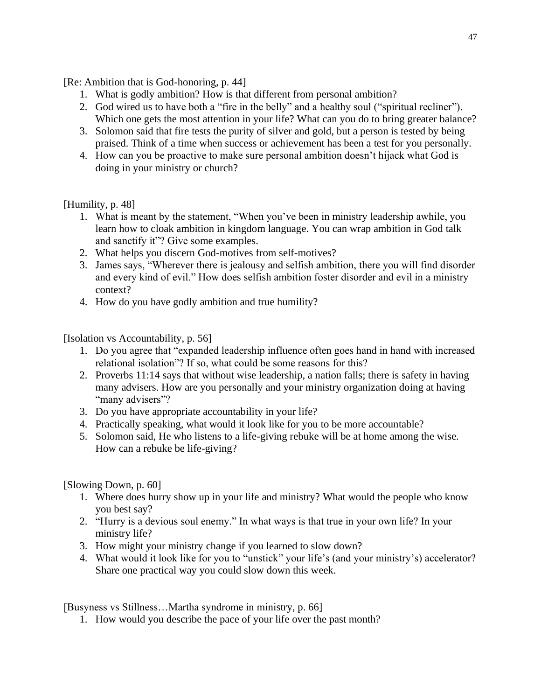[Re: Ambition that is God-honoring, p. 44]

- 1. What is godly ambition? How is that different from personal ambition?
- 2. God wired us to have both a "fire in the belly" and a healthy soul ("spiritual recliner"). Which one gets the most attention in your life? What can you do to bring greater balance?
- 3. Solomon said that fire tests the purity of silver and gold, but a person is tested by being praised. Think of a time when success or achievement has been a test for you personally.
- 4. How can you be proactive to make sure personal ambition doesn't hijack what God is doing in your ministry or church?

[Humility, p. 48]

- 1. What is meant by the statement, "When you've been in ministry leadership awhile, you learn how to cloak ambition in kingdom language. You can wrap ambition in God talk and sanctify it"? Give some examples.
- 2. What helps you discern God-motives from self-motives?
- 3. James says, "Wherever there is jealousy and selfish ambition, there you will find disorder and every kind of evil." How does selfish ambition foster disorder and evil in a ministry context?
- 4. How do you have godly ambition and true humility?

[Isolation vs Accountability, p. 56]

- 1. Do you agree that "expanded leadership influence often goes hand in hand with increased relational isolation"? If so, what could be some reasons for this?
- 2. Proverbs 11:14 says that without wise leadership, a nation falls; there is safety in having many advisers. How are you personally and your ministry organization doing at having "many advisers"?
- 3. Do you have appropriate accountability in your life?
- 4. Practically speaking, what would it look like for you to be more accountable?
- 5. Solomon said, He who listens to a life-giving rebuke will be at home among the wise. How can a rebuke be life-giving?

[Slowing Down, p. 60]

- 1. Where does hurry show up in your life and ministry? What would the people who know you best say?
- 2. "Hurry is a devious soul enemy." In what ways is that true in your own life? In your ministry life?
- 3. How might your ministry change if you learned to slow down?
- 4. What would it look like for you to "unstick" your life's (and your ministry's) accelerator? Share one practical way you could slow down this week.

[Busyness vs Stillness…Martha syndrome in ministry, p. 66]

1. How would you describe the pace of your life over the past month?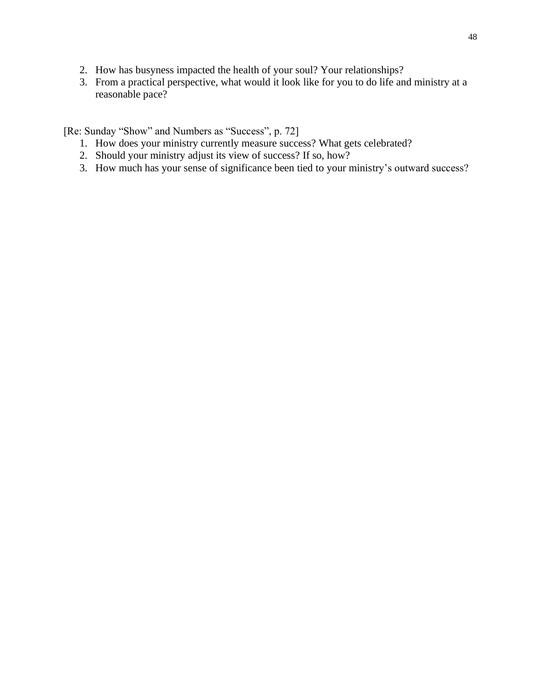- 2. How has busyness impacted the health of your soul? Your relationships?
- 3. From a practical perspective, what would it look like for you to do life and ministry at a reasonable pace?

[Re: Sunday "Show" and Numbers as "Success", p. 72]

- 1. How does your ministry currently measure success? What gets celebrated?
- 2. Should your ministry adjust its view of success? If so, how?
- 3. How much has your sense of significance been tied to your ministry's outward success?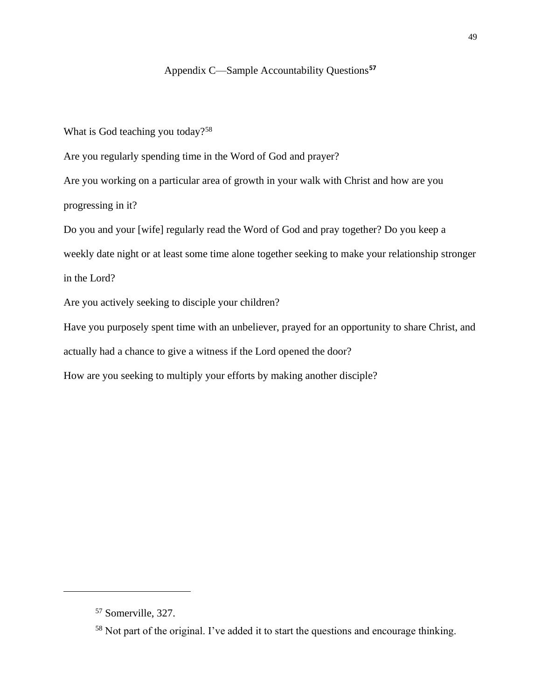### Appendix C—Sample Accountability Questions**<sup>57</sup>**

What is God teaching you today?<sup>58</sup>

Are you regularly spending time in the Word of God and prayer?

Are you working on a particular area of growth in your walk with Christ and how are you

progressing in it?

Do you and your [wife] regularly read the Word of God and pray together? Do you keep a weekly date night or at least some time alone together seeking to make your relationship stronger in the Lord?

Are you actively seeking to disciple your children?

Have you purposely spent time with an unbeliever, prayed for an opportunity to share Christ, and

actually had a chance to give a witness if the Lord opened the door?

How are you seeking to multiply your efforts by making another disciple?

<sup>57</sup> Somerville, 327.

<sup>&</sup>lt;sup>58</sup> Not part of the original. I've added it to start the questions and encourage thinking.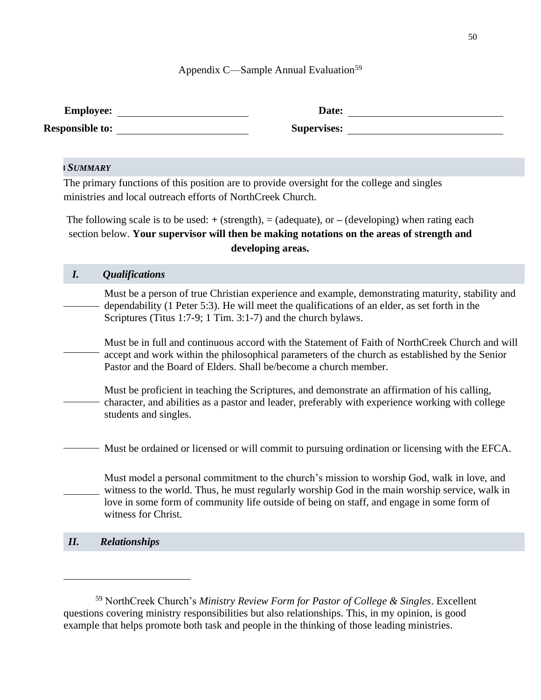# Appendix C—Sample Annual Evaluation<sup>59</sup>

| <b>Employee:</b>       | <b>Date:</b>       |  |
|------------------------|--------------------|--|
| <b>Responsible to:</b> | <b>Supervises:</b> |  |

## *JOB SUMMARY*

The primary functions of this position are to provide oversight for the college and singles ministries and local outreach efforts of NorthCreek Church.

The following scale is to be used: **+** (strength), = (adequate), or **–** (developing) when rating each section below. **Your supervisor will then be making notations on the areas of strength and developing areas.**

| $\bm{I}$ . | <i><b>Qualifications</b></i>                                                                                                                                                                                                                                                                                     |
|------------|------------------------------------------------------------------------------------------------------------------------------------------------------------------------------------------------------------------------------------------------------------------------------------------------------------------|
|            | Must be a person of true Christian experience and example, demonstrating maturity, stability and<br>dependability (1 Peter 5:3). He will meet the qualifications of an elder, as set forth in the<br>Scriptures (Titus 1:7-9; 1 Tim. 3:1-7) and the church bylaws.                                               |
|            | Must be in full and continuous accord with the Statement of Faith of NorthCreek Church and will<br>accept and work within the philosophical parameters of the church as established by the Senior<br>Pastor and the Board of Elders. Shall be/become a church member.                                            |
|            | Must be proficient in teaching the Scriptures, and demonstrate an affirmation of his calling,<br>character, and abilities as a pastor and leader, preferably with experience working with college<br>students and singles.                                                                                       |
|            | Must be ordained or licensed or will commit to pursuing ordination or licensing with the EFCA.                                                                                                                                                                                                                   |
|            | Must model a personal commitment to the church's mission to worship God, walk in love, and<br>witness to the world. Thus, he must regularly worship God in the main worship service, walk in<br>love in some form of community life outside of being on staff, and engage in some form of<br>witness for Christ. |

### *II. Relationships*

<sup>59</sup> NorthCreek Church's *Ministry Review Form for Pastor of College & Singles*. Excellent questions covering ministry responsibilities but also relationships. This, in my opinion, is good example that helps promote both task and people in the thinking of those leading ministries.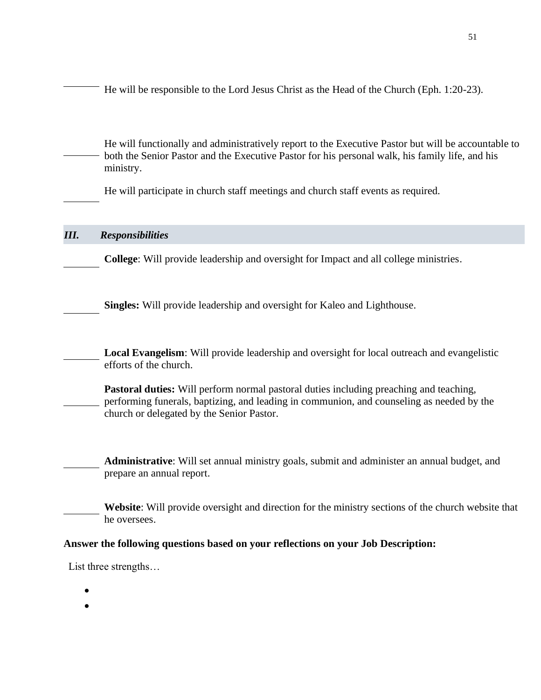He will be responsible to the Lord Jesus Christ as the Head of the Church (Eph. 1:20-23).

He will functionally and administratively report to the Executive Pastor but will be accountable to both the Senior Pastor and the Executive Pastor for his personal walk, his family life, and his ministry.

A. He will participate in church staff meetings and church staff events as required.

## *III. Responsibilities*

A. **College**: Will provide leadership and oversight for Impact and all college ministries.

**Singles:** Will provide leadership and oversight for Kaleo and Lighthouse.

Local Evangelism: Will provide leadership and oversight for local outreach and evangelistic efforts of the church.

**Pastoral duties:** Will perform normal pastoral duties including preaching and teaching, performing funerals, baptizing, and leading in communion, and counseling as needed by the church or delegated by the Senior Pastor.

Administrative: Will set annual ministry goals, submit and administer an annual budget, and prepare an annual report.

Website: Will provide oversight and direction for the ministry sections of the church website that he oversees.

### **Answer the following questions based on your reflections on your Job Description:**

List three strengths…

- •
- •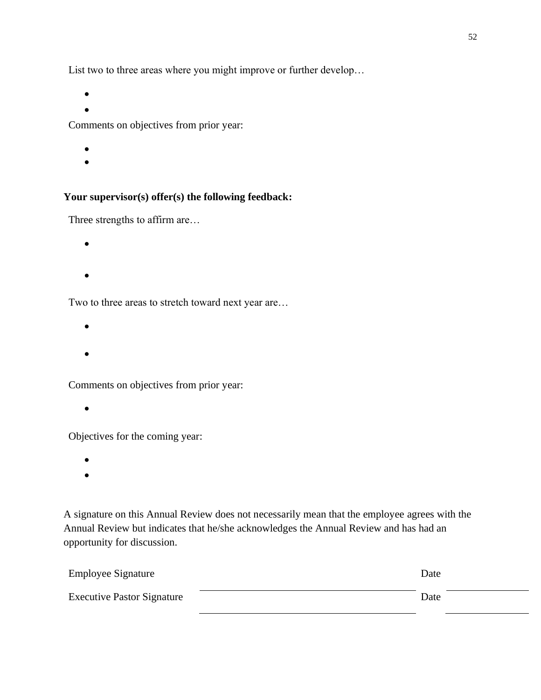List two to three areas where you might improve or further develop…

•

•

Comments on objectives from prior year:

- •
- •

# **Your supervisor(s) offer(s) the following feedback:**

Three strengths to affirm are…

- •
- 
- •

Two to three areas to stretch toward next year are…

- •
- •
- 

Comments on objectives from prior year:

•

Objectives for the coming year:

- •
- •

A signature on this Annual Review does not necessarily mean that the employee agrees with the Annual Review but indicates that he/she acknowledges the Annual Review and has had an opportunity for discussion.

| <b>Employee Signature</b>         |  |      |  |
|-----------------------------------|--|------|--|
| <b>Executive Pastor Signature</b> |  | Date |  |